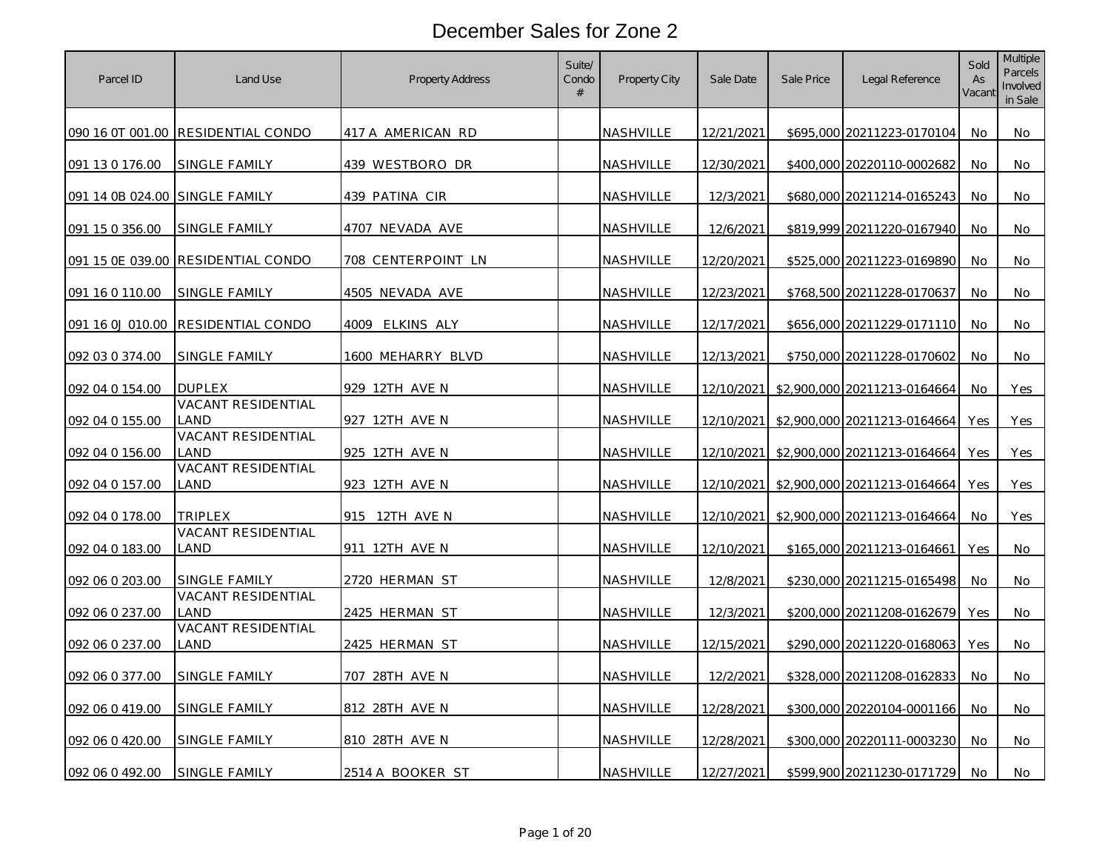| Parcel ID                      | Land Use                           | <b>Property Address</b> | Suite/<br>Condo<br># | Property City    | Sale Date  | Sale Price | Legal Reference                         | Sold<br>As<br>Vacant | Multiple<br>Parcels<br>Involved<br>in Sale |
|--------------------------------|------------------------------------|-------------------------|----------------------|------------------|------------|------------|-----------------------------------------|----------------------|--------------------------------------------|
|                                | 090 16 0T 001.00 RESIDENTIAL CONDO | 417 A AMERICAN RD       |                      | NASHVILLE        | 12/21/2021 |            | \$695,000 20211223-0170104              | No.                  | No                                         |
| 091 13 0 176.00                | SINGLE FAMILY                      | 439 WESTBORO DR         |                      | NASHVILLE        | 12/30/2021 |            | \$400,000 20220110-0002682              | No                   | No                                         |
| 091 14 0B 024.00 SINGLE FAMILY |                                    | 439 PATINA CIR          |                      | NASHVILLE        | 12/3/2021  |            | \$680,000 20211214-0165243              | No                   | No                                         |
| 091 15 0 356.00                | SINGLE FAMILY                      | 4707 NEVADA AVE         |                      | NASHVILLE        | 12/6/2021  |            | \$819,999 20211220-0167940              | No                   | No                                         |
|                                | 091 15 0E 039.00 RESIDENTIAL CONDO | 708 CENTERPOINT LN      |                      | NASHVILLE        | 12/20/2021 |            | \$525,000 20211223-0169890              | No                   | No                                         |
| 091 16 0 110.00                | <u>SINGLE FAMILY</u>               | 4505 NEVADA AVE         |                      | NASHVILLE        | 12/23/2021 |            | \$768,500 20211228-0170637              | No                   | No                                         |
| 091 16 0J 010.00               | RESIDENTIAL CONDO                  | 4009 ELKINS ALY         |                      | NASHVILLE        | 12/17/2021 |            | \$656,000 20211229-0171110              | <b>No</b>            | No                                         |
| 092 03 0 374.00                | SINGLE FAMILY                      | 1600 MEHARRY BLVD       |                      | NASHVILLE        | 12/13/2021 |            | \$750,000 20211228-0170602              | No                   | No                                         |
| 092 04 0 154.00                | <b>DUPLEX</b>                      | 929 12TH AVE N          |                      | NASHVILLE        | 12/10/2021 |            | \$2,900,000 20211213-0164664            | No                   | Yes                                        |
| 092 04 0 155.00                | VACANT RESIDENTIAL<br>LAND         | 927 12TH AVE N          |                      | NASHVILLE        |            |            | 12/10/2021 \$2,900,000 20211213-0164664 | Yes                  | Yes                                        |
| 092 04 0 156.00                | VACANT RESIDENTIAL<br><b>AND</b>   | 925 12TH AVE N          |                      | <u>NASHVILLE</u> | 12/10/2021 |            | \$2,900,000 20211213-0164664            | Yes                  | Yes                                        |
| 092 04 0 157.00                | <b>VACANT RESIDENTIAL</b><br>LAND  | 923 12TH AVE N          |                      | NASHVILLE        |            |            | 12/10/2021 \$2,900,000 20211213-0164664 | Yes                  | Yes                                        |
| 092 04 0 178.00                | TRIPLEX                            | 915 12TH AVE N          |                      | NASHVILLE        | 12/10/2021 |            | \$2,900,000 20211213-0164664            | No                   | Yes                                        |
| 092 04 0 183.00                | VACANT RESIDENTIAL<br>land         | 911 12TH AVE N          |                      | <b>NASHVILLE</b> | 12/10/2021 |            | \$165,000 20211213-0164661              | <b>Yes</b>           | No                                         |
| 092 06 0 203.00                | SINGLE FAMILY                      | 2720 HERMAN ST          |                      | NASHVILLE        | 12/8/2021  |            | \$230,000 20211215-0165498              | <b>No</b>            | No                                         |
| 092 06 0 237.00                | <b>VACANT RESIDENTIAL</b><br>LAND  | 2425 HERMAN ST          |                      | NASHVILLE        | 12/3/2021  |            | \$200,000 20211208-0162679              | <b>Yes</b>           | No                                         |
| 092 06 0 237.00                | VACANT RESIDENTIAL<br>LAND         | 2425 HERMAN ST          |                      | NASHVILLE        | 12/15/2021 |            | \$290,000 20211220-0168063              | <b>Yes</b>           | No                                         |
| 092 06 0 377.00                | SINGLE FAMILY                      | 707 28TH AVE N          |                      | NASHVILLE        | 12/2/2021  |            | \$328,000 20211208-0162833              | No                   | No                                         |
| 092 06 0 419.00                | SINGLE FAMILY                      | 812 28TH AVE N          |                      | NASHVILLE        | 12/28/2021 |            | \$300,000 20220104-0001166              | No.                  | No.                                        |
| 092 06 0 420.00                | SINGLE FAMILY                      | 810 28TH AVE N          |                      | NASHVILLE        | 12/28/2021 |            | \$300,000 20220111-0003230              | <b>No</b>            | No                                         |
| 092 06 0 492.00                | SINGLE FAMILY                      | 2514 A BOOKER ST        |                      | NASHVILLE        | 12/27/2021 |            | \$599,900 20211230-0171729              | No                   | No                                         |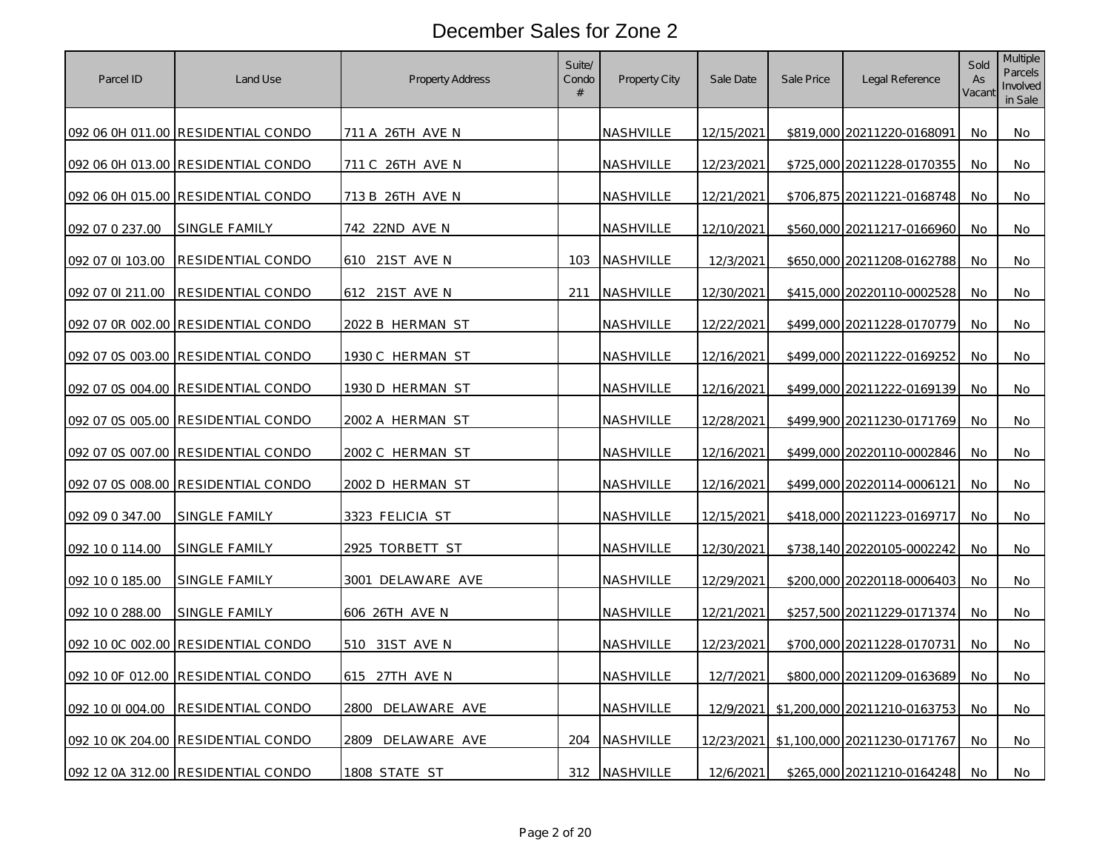| Parcel ID        | Land Use                           | Property Address        | Suite/<br>Condo<br># | Property City    | Sale Date         | Sale Price | Legal Reference              | Sold<br>As<br>Vacant | <b>Multiple</b><br><b>Parcels</b><br>Involved<br>in Sale |
|------------------|------------------------------------|-------------------------|----------------------|------------------|-------------------|------------|------------------------------|----------------------|----------------------------------------------------------|
|                  | 092 06 0H 011.00 RESIDENTIAL CONDO | 711 A 26TH AVE N        |                      | NASHVILLE        | 12/15/2021        |            | \$819,000 20211220-0168091   | No.                  | No                                                       |
|                  | 092 06 0H 013.00 RESIDENTIAL CONDO | 711 C 26TH AVE N        |                      | NASHVILLE        | 12/23/2021        |            | \$725,000 20211228-0170355   | No.                  | No                                                       |
|                  | 092 06 0H 015.00 RESIDENTIAL CONDO | 713 B 26TH AVE N        |                      | NASHVILLE        | 12/21/2021        |            | \$706,875 20211221-0168748   | No                   | No                                                       |
| 092 07 0 237.00  | SINGLE FAMILY                      | 742 22ND AVE N          |                      | NASHVILLE        | 12/10/2021        |            | \$560,000 20211217-0166960   | No                   | No                                                       |
| 092 07 0I 103.00 | RESIDENTIAL CONDO                  | 610 21ST AVE N          | 103                  | NASHVILLE        | 12/3/2021         |            | \$650,000 20211208-0162788   | No                   | No                                                       |
| 092 07 01 211.00 | RESIDENTIAL CONDO                  | 612 21ST AVE N          | 211                  | NASHVILLE        | 12/30/2021        |            | \$415,000 20220110-0002528   | No                   | No                                                       |
|                  | 092 07 0R 002.00 RESIDENTIAL CONDO | <u>2022 B HERMAN ST</u> |                      | <u>NASHVILLE</u> | 12/22/2021        |            | \$499,000 20211228-0170779   | No.                  | No                                                       |
|                  | 092 07 0S 003.00 RESIDENTIAL CONDO | 1930 C HERMAN ST        |                      | NASHVILLE        | 12/16/2021        |            | \$499,000 20211222-0169252   | No                   | No                                                       |
|                  | 092 07 0S 004.00 RESIDENTIAL CONDO | 1930 D HERMAN ST        |                      | NASHVILLE        | 12/16/2021        |            | \$499,000 20211222-0169139   | No                   | No                                                       |
|                  | 092 07 0S 005.00 RESIDENTIAL CONDO | 2002 A HERMAN ST        |                      | NASHVILLE        | 12/28/2021        |            | \$499,900 20211230-0171769   | No.                  | No                                                       |
|                  | 092 07 0S 007.00 RESIDENTIAL CONDO | 2002 C HERMAN ST        |                      | <u>NASHVILLE</u> | 12/16/2021        |            | \$499,000 20220110-0002846   | No.                  | No                                                       |
|                  | 092 07 0S 008.00 RESIDENTIAL CONDO | <u>2002 D HERMAN ST</u> |                      | NASHVILLE        | 12/16/2021        |            | \$499,000 20220114-0006121   | No                   | No                                                       |
| 092 09 0 347.00  | SINGLE FAMILY                      | 3323 FELICIA ST         |                      | NASHVILLE        | <u>12/15/2021</u> |            | \$418,000 20211223-0169717   | No.                  | No                                                       |
| 092 10 0 114.00  | SINGLE FAMILY                      | 2925 TORBETT ST         |                      | NASHVILLE        | 12/30/2021        |            | \$738,140 20220105-0002242   | No                   | No                                                       |
| 092 10 0 185.00  | <b>SINGLE FAMILY</b>               | 3001 DELAWARE AVE       |                      | NASHVILLE        | 12/29/2021        |            | \$200,000 20220118-0006403   | No                   | No                                                       |
| 092 10 0 288.00  | SINGLE FAMILY                      | 606 26TH AVE N          |                      | NASHVILLE        | 12/21/2021        |            | \$257,500 20211229-0171374   | No                   | No                                                       |
|                  | 092 10 0C 002.00 RESIDENTIAL CONDO | 510 31ST AVE N          |                      | NASHVILLE        | 12/23/2021        |            | \$700,000 20211228-0170731   | No                   | No                                                       |
|                  | 092 10 OF 012.00 RESIDENTIAL CONDO | 615 27TH AVE N          |                      | NASHVILLE        | 12/7/2021         |            | \$800,000 20211209-0163689   | No                   | No                                                       |
| 092 10 01 004.00 | RESIDENTIAL CONDO                  | 2800 DELAWARE AVE       |                      | NASHVILLE        | 12/9/2021         |            | \$1,200,000 20211210-0163753 | No                   | No                                                       |
|                  | 092 10 0K 204.00 RESIDENTIAL CONDO | DELAWARE AVE<br>2809    | 204                  | NASHVILLE        | 12/23/2021        |            | \$1,100,000 20211230-0171767 | <b>No</b>            | No                                                       |
|                  | 092 12 0A 312.00 RESIDENTIAL CONDO | 1808 STATE ST           | 312                  | NASHVILLE        | 12/6/2021         |            | \$265,000 20211210-0164248   | No.                  | No                                                       |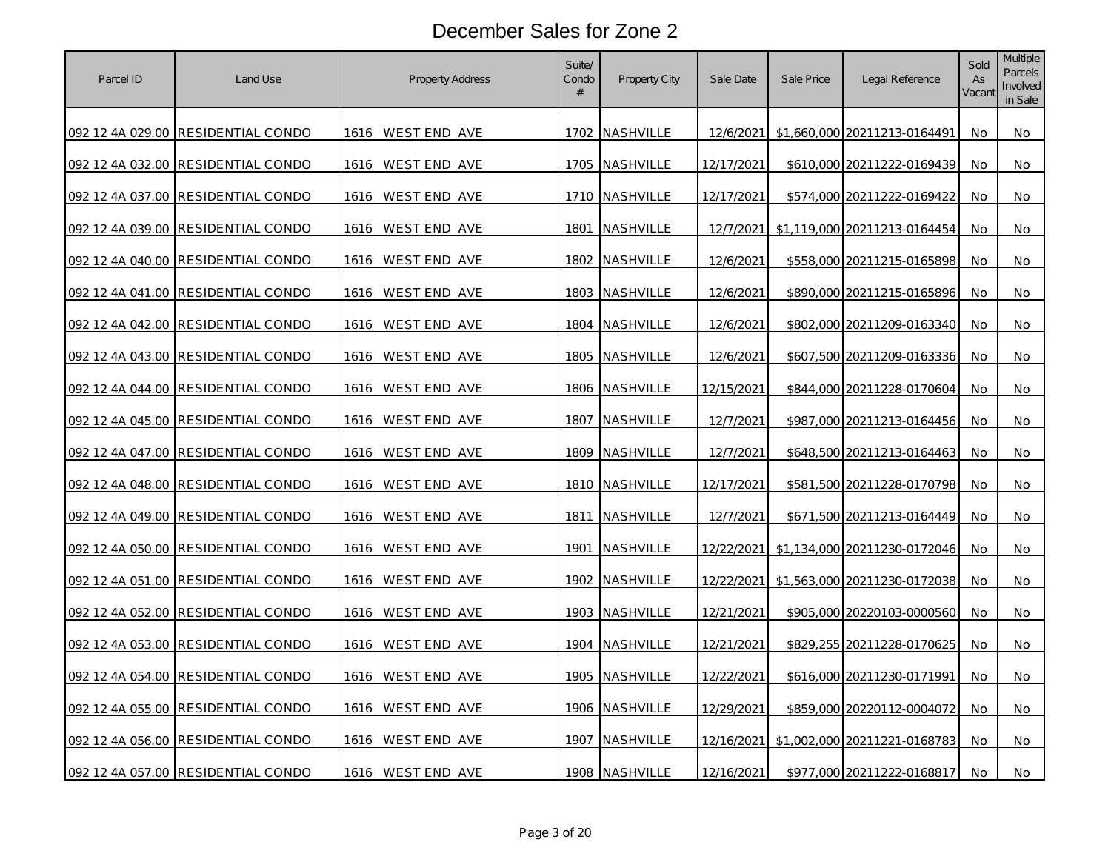| Parcel ID | Land Use                           | <b>Property Address</b>  | Suite/<br>Condo<br># | Property City  | Sale Date  | Sale Price | Legal Reference              | Sold<br>As<br>Vacant | <b>Multiple</b><br>Parcels<br>Involved<br>in Sale |
|-----------|------------------------------------|--------------------------|----------------------|----------------|------------|------------|------------------------------|----------------------|---------------------------------------------------|
|           | 092 12 4A 029.00 RESIDENTIAL CONDO | 1616 WEST END AVE        |                      | 1702 NASHVILLE | 12/6/2021  |            | \$1,660,000 20211213-0164491 | No.                  | No                                                |
|           | 092 12 4A 032.00 RESIDENTIAL CONDO | 1616 WEST END AVE        |                      | 1705 NASHVILLE | 12/17/2021 |            | \$610,000 20211222-0169439   | No                   | No                                                |
|           | 092 12 4A 037.00 RESIDENTIAL CONDO | 1616 WEST END AVE        |                      | 1710 NASHVILLE | 12/17/2021 |            | \$574,000 20211222-0169422   | No                   | No                                                |
|           | 092 12 4A 039.00 RESIDENTIAL CONDO | 1616 WESTEND AVE         | 1801                 | NASHVILLE      | 12/7/2021  |            | \$1,119,000 20211213-0164454 | No.                  | No                                                |
|           | 092 12 4A 040.00 RESIDENTIAL CONDO | 1616 WEST END AVE        |                      | 1802 NASHVILLE | 12/6/2021  |            | \$558,000 20211215-0165898   | No                   | No                                                |
|           | 092 12 4A 041.00 RESIDENTIAL CONDO | WEST END AVE<br>1616     |                      | 1803 NASHVILLE | 12/6/2021  |            | \$890,000 20211215-0165896   | No                   | No                                                |
|           | 092 12 4A 042.00 RESIDENTIAL CONDO | 1616 WESTEND AVE         |                      | 1804 NASHVILLE | 12/6/2021  |            | \$802,000 20211209-0163340   | No                   | No                                                |
|           | 092 12 4A 043.00 RESIDENTIAL CONDO | 1616 WESTEND AVE         |                      | 1805 NASHVILLE | 12/6/2021  |            | \$607,500 20211209-0163336   | No                   | No                                                |
|           | 092 12 4A 044.00 RESIDENTIAL CONDO | 1616 WESTEND AVE         |                      | 1806 NASHVILLE | 12/15/2021 |            | \$844,000 20211228-0170604   | No                   | No                                                |
|           | 092 12 4A 045.00 RESIDENTIAL CONDO | 1616 WESTEND AVE         |                      | 1807 NASHVILLE | 12/7/2021  |            | \$987,000 20211213-0164456   | No.                  | No                                                |
|           | 092 12 4A 047.00 RESIDENTIAL CONDO | 1616 WEST END AVE        |                      | 1809 NASHVILLE | 12/7/2021  |            | \$648,500 20211213-0164463   | No                   | No                                                |
|           | 092 12 4A 048.00 RESIDENTIAL CONDO | 1616 WEST END AVE        |                      | 1810 NASHVILLE | 12/17/2021 |            | \$581,500 20211228-0170798   | No                   | No                                                |
|           | 092 12 4A 049.00 RESIDENTIAL CONDO | 1616 WESTEND AVE         |                      | 1811 NASHVILLE | 12/7/2021  |            | \$671,500 20211213-0164449   | No.                  | No                                                |
|           | 092 12 4A 050.00 RESIDENTIAL CONDO | 1616 WEST END AVE        | 1901                 | NASHVILLE      | 12/22/2021 |            | \$1,134,000 20211230-0172046 | No                   | No                                                |
|           | 092 12 4A 051.00 RESIDENTIAL CONDO | <u>1616 WEST END AVE</u> |                      | 1902 NASHVILLE | 12/22/2021 |            | \$1,563,000 20211230-0172038 | No                   | No                                                |
|           | 092 12 4A 052.00 RESIDENTIAL CONDO | 1616 WESTEND AVE         |                      | 1903 NASHVILLE | 12/21/2021 |            | \$905,000 20220103-0000560   | No                   | No                                                |
|           | 092 12 4A 053.00 RESIDENTIAL CONDO | 1616 WEST END AVE        |                      | 1904 NASHVILLE | 12/21/2021 |            | \$829,255 20211228-0170625   | No                   | No                                                |
|           | 092 12 4A 054.00 RESIDENTIAL CONDO | 1616 WEST END AVE        |                      | 1905 NASHVILLE | 12/22/2021 |            | \$616,000 20211230-0171991   | No.                  | No                                                |
|           | 092 12 4A 055.00 RESIDENTIAL CONDO | 1616 WEST END AVE        |                      | 1906 NASHVILLE | 12/29/2021 |            | \$859,000 20220112-0004072   | No                   | No                                                |
|           | 092 12 4A 056.00 RESIDENTIAL CONDO | 1616 WEST END AVE        |                      | 1907 NASHVILLE | 12/16/2021 |            | \$1,002,000 20211221-0168783 | No                   | No                                                |
|           | 092 12 4A 057.00 RESIDENTIAL CONDO | 1616 WEST END AVE        |                      | 1908 NASHVILLE | 12/16/2021 |            | \$977,000 20211222-0168817   | No                   | No                                                |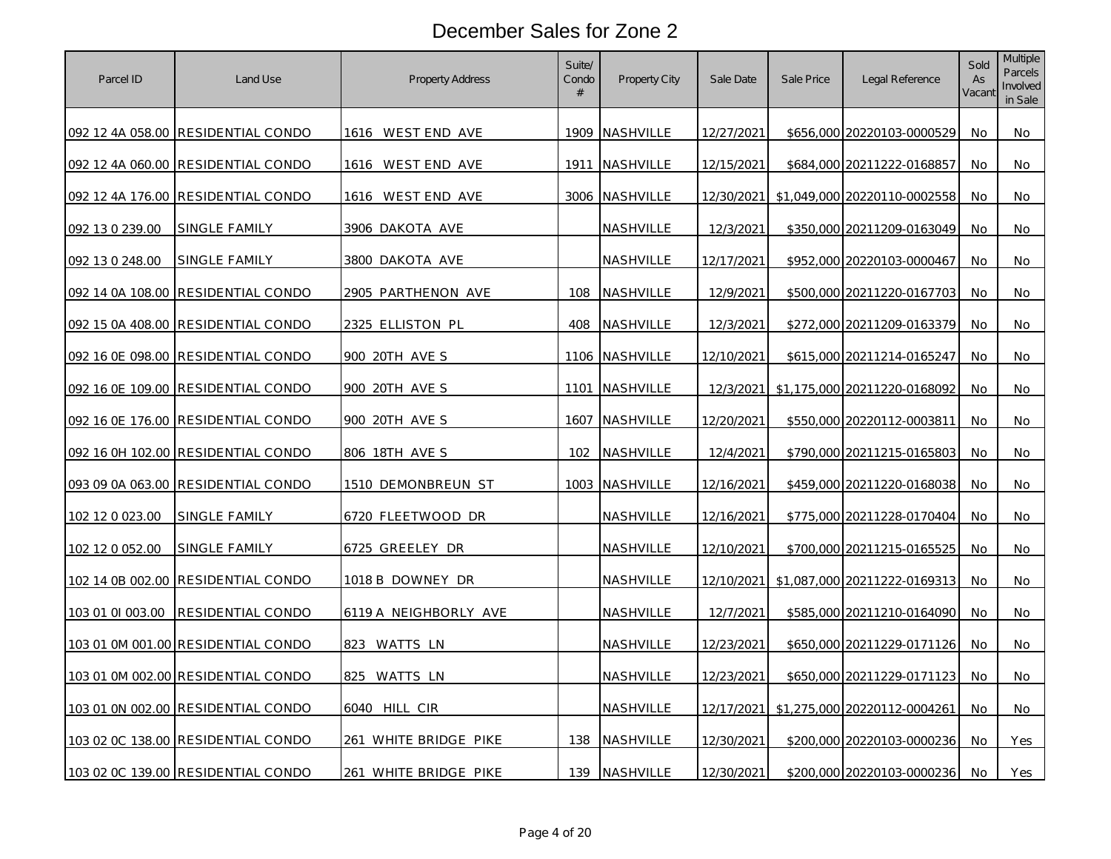| Parcel ID        | Land Use                           | <b>Property Address</b>    | Suite/<br>Condo<br># | Property City    | Sale Date         | Sale Price | Legal Reference              | Sold<br>As<br>Vacant | <b>Multiple</b><br>Parcels<br>Involved<br>in Sale |
|------------------|------------------------------------|----------------------------|----------------------|------------------|-------------------|------------|------------------------------|----------------------|---------------------------------------------------|
|                  | 092 12 4A 058.00 RESIDENTIAL CONDO | 1616 WESTEND AVE           | 1909                 | NASHVILLE        | 12/27/2021        |            | \$656,000 20220103-0000529   | No.                  | No                                                |
|                  | 092 12 4A 060.00 RESIDENTIAL CONDO | 1616 WESTEND AVE           | 1911                 | NASHVILLE        | 12/15/2021        |            | \$684,000 20211222-0168857   | No.                  | No                                                |
|                  | 092 12 4A 176.00 RESIDENTIAL CONDO | 1616 WESTEND AVE           |                      | 3006 NASHVILLE   | 12/30/2021        |            | \$1,049,000 20220110-0002558 | No                   | No                                                |
| 092 13 0 239.00  | SINGLE FAMILY                      | 3906 DAKOTA AVE            |                      | NASHVILLE        | <u>12/3/2021</u>  |            | \$350,000 20211209-0163049   | No                   | No                                                |
| 092 13 0 248.00  | SINGLE FAMILY                      | 3800 DAKOTA AVE            |                      | NASHVILLE        | 12/17/2021        |            | \$952,000 20220103-0000467   | No                   | No                                                |
|                  | 092 14 0A 108.00 RESIDENTIAL CONDO | <u> 2905 PARTHENON AVE</u> | 108                  | NASHVILLE        | 12/9/2021         |            | \$500,000 20211220-0167703   | No                   | No                                                |
|                  | 092 15 0A 408.00 RESIDENTIAL CONDO | <u>2325 ELLISTON PL</u>    | 408                  | <u>NASHVILLE</u> | 12/3/2021         |            | \$272,000 20211209-0163379   | No.                  | No                                                |
|                  | 092 16 0E 098.00 RESIDENTIAL CONDO | 900 20TH AVE S             |                      | 1106 NASHVILLE   | 12/10/2021        |            | \$615,000 20211214-0165247   | No                   | No                                                |
|                  | 092 16 0E 109.00 RESIDENTIAL CONDO | 900 20TH AVE S             | 1101                 | NASHVILLE        | 12/3/2021         |            | \$1,175,000 20211220-0168092 | No                   | No                                                |
|                  | 092 16 0E 176.00 RESIDENTIAL CONDO | 900 20TH AVE S             | 1607                 | NASHVILLE        | 12/20/2021        |            | \$550,000 20220112-0003811   | No.                  | No.                                               |
|                  | 092 16 0H 102.00 RESIDENTIAL CONDO | 806 18TH AVE S             | 102                  | <u>NASHVILLE</u> | 12/4/2021         |            | \$790,000 20211215-0165803   | No                   | No                                                |
|                  | 093 09 0A 063.00 RESIDENTIAL CONDO | <u>1510 DEMONBREUN ST</u>  | 1003                 | NASHVILLE        | <u>12/16/2021</u> |            | \$459,000 20211220-0168038   | No                   | No                                                |
| 102 12 0 023.00  | <u>SINGLE FAMILY</u>               | 6720 FLEETWOOD DR          |                      | NASHVILLE        | <u>12/16/2021</u> |            | \$775,000 20211228-0170404   | No                   | No                                                |
| 102 12 0 052.00  | SINGLE FAMILY                      | 6725 GREELEY DR            |                      | NASHVILLE        | 12/10/2021        |            | \$700,000 20211215-0165525   | No                   | No                                                |
|                  | 102 14 0B 002.00 RESIDENTIAL CONDO | 1018 B DOWNEY DR           |                      | NASHVILLE        | 12/10/2021        |            | \$1,087,000 20211222-0169313 | No                   | No                                                |
| 103 01 01 003.00 | RESIDENTIAL CONDO                  | 6119 A NEIGHBORLY AVE      |                      | NASHVILLE        | 12/7/2021         |            | \$585,000 20211210-0164090   | No.                  | No                                                |
|                  | 103 01 0M 001.00 RESIDENTIAL CONDO | 823 WATTS LN               |                      | NASHVILLE        | 12/23/2021        |            | \$650,000 20211229-0171126   | No                   | No                                                |
|                  | 103 01 0M 002.00 RESIDENTIAL CONDO | <u>825 WATTS LN</u>        |                      | <u>NASHVILLE</u> | 12/23/2021        |            | \$650,000 20211229-0171123   | No                   | No                                                |
|                  | 103 01 0N 002.00 RESIDENTIAL CONDO | 6040 HILL CIR              |                      | NASHVILLE        | 12/17/2021        |            | \$1,275,000 20220112-0004261 | No                   | No                                                |
|                  | 103 02 0C 138.00 RESIDENTIAL CONDO | 261 WHITE BRIDGE PIKE      | 138                  | NASHVILLE        | 12/30/2021        |            | \$200,000 20220103-0000236   | No                   | Yes                                               |
|                  | 103 02 0C 139.00 RESIDENTIAL CONDO | 261 WHITE BRIDGE PIKE      | 139                  | NASHVILLE        | 12/30/2021        |            | \$200,000 20220103-0000236   | No                   | Yes                                               |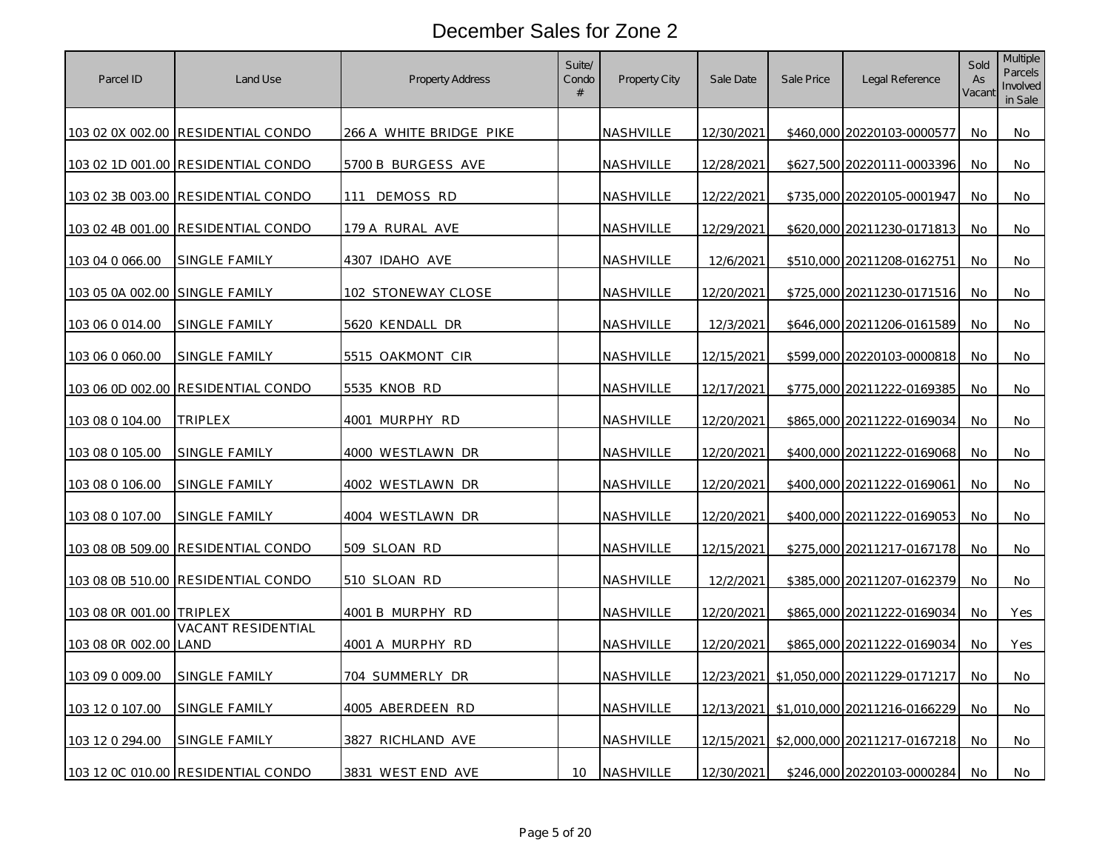| Parcel ID                | Land Use                           | <b>Property Address</b> | Suite/<br>Condo<br># | Property City    | Sale Date  | Sale Price | Legal Reference                         | Sold<br>As<br>Vacant | Multiple<br>Parcels<br>Involved<br>in Sale |
|--------------------------|------------------------------------|-------------------------|----------------------|------------------|------------|------------|-----------------------------------------|----------------------|--------------------------------------------|
|                          | 103 02 0X 002.00 RESIDENTIAL CONDO | 266 A WHITE BRIDGE PIKE |                      | NASHVILLE        | 12/30/2021 |            | \$460,000 20220103-0000577              | No.                  | No                                         |
|                          | 103 02 1D 001.00 RESIDENTIAL CONDO | 5700 B BURGESS AVE      |                      | NASHVILLE        | 12/28/2021 |            | \$627,500 20220111-0003396              | No                   | No                                         |
|                          | 103 02 3B 003.00 RESIDENTIAL CONDO | DEMOSS RD<br>111        |                      | NASHVILLE        | 12/22/2021 |            | \$735,000 20220105-0001947              | No                   | No                                         |
| 103 02 4B 001.00         | RESIDENTIAL CONDO                  | 179 A RURAL AVE         |                      | NASHVILLE        | 12/29/2021 |            | \$620,000 20211230-0171813              | No                   | No                                         |
| 103 04 0 066.00          | SINGLE FAMILY                      | 4307 IDAHO AVE          |                      | NASHVILLE        | 12/6/2021  |            | \$510,000 20211208-0162751              | No.                  | No                                         |
| 103 05 0A 002.00         | SINGLE FAMILY                      | 102 STONEWAY CLOSE      |                      | NASHVILLE        | 12/20/2021 |            | \$725,000 20211230-0171516              | No                   | No                                         |
| 103 06 0 014.00          | <u>SINGLE FAMILY</u>               | <u>5620 kendall dr</u>  |                      | <u>NASHVILLE</u> | 12/3/2021  |            | \$646,000 20211206-0161589              | No.                  | No                                         |
| 103 06 0 060.00          | SINGLE FAMILY                      | 5515 OAKMONT CIR        |                      | NASHVILLE        | 12/15/2021 |            | \$599,000 20220103-0000818              | No                   | No                                         |
| 103 06 0D 002.00         | RESIDENTIAL CONDO                  | 5535 KNOB RD            |                      | NASHVILLE        | 12/17/2021 |            | \$775,000 20211222-0169385              | No                   | No                                         |
| 103 08 0 104.00          | <b>TRIPLEX</b>                     | 4001 MURPHY RD          |                      | NASHVILLE        | 12/20/2021 |            | \$865,000 20211222-0169034              | No                   | No                                         |
| 103 08 0 105.00          | SINGLE FAMILY                      | 4000 WESTLAWN DR        |                      | NASHVILLE        | 12/20/2021 |            | \$400,000 20211222-0169068              | No                   | No                                         |
| 103 08 0 106.00          | <u>SINGLE FAMILY</u>               | <u>4002 WESTLAWN DR</u> |                      | NASHVILLE        | 12/20/2021 |            | \$400,000 20211222-0169061              | No                   | No                                         |
| 103 08 0 107.00          | SINGLE FAMILY                      | 4004 WESTLAWN DR        |                      | NASHVILLE        | 12/20/2021 |            | \$400,000 20211222-0169053              | No                   | No                                         |
| 103 08 0B 509.00         | RESIDENTIAL CONDO                  | 509 SLOAN RD            |                      | NASHVILLE        | 12/15/2021 |            | \$275,000 20211217-0167178              | No                   | No                                         |
| 103 08 0B 510.00         | RESIDENTIAL CONDO                  | 510 SLOAN RD            |                      | NASHVILLE        | 12/2/2021  |            | \$385,000 20211207-0162379              | No                   | No                                         |
| 103 08 0R 001.00 TRIPLEX |                                    | 4001 B MURPHY RD        |                      | NASHVILLE        | 12/20/2021 |            | \$865,000 20211222-0169034              | No                   | Yes                                        |
| 103 08 0R 002.00         | VACANT RESIDENTIAL<br>LAND         | 4001 A MURPHY RD        |                      | NASHVILLE        | 12/20/2021 |            | \$865,000 20211222-0169034              | No                   | Yes                                        |
| 103 09 0 009.00          | <b>SINGLE FAMILY</b>               | 704 SUMMERLY DR         |                      | NASHVILLE        | 12/23/2021 |            | \$1,050,000 20211229-0171217            | No                   | No                                         |
| 103 12 0 107.00          | SINGLE FAMILY                      | 4005 ABERDEEN RD        |                      | NASHVILLE        | 12/13/2021 |            | \$1,010,000 20211216-0166229            | No                   | No                                         |
| 103 12 0 294.00          | SINGLE FAMILY                      | 3827 RICHLAND AVE       |                      | NASHVILLE        |            |            | 12/15/2021 \$2,000,000 20211217-0167218 | No                   | No                                         |
|                          | 103 12 0C 010.00 RESIDENTIAL CONDO | 3831 WEST END AVE       | 10                   | NASHVILLE        | 12/30/2021 |            | \$246,000 20220103-0000284              | No                   | No                                         |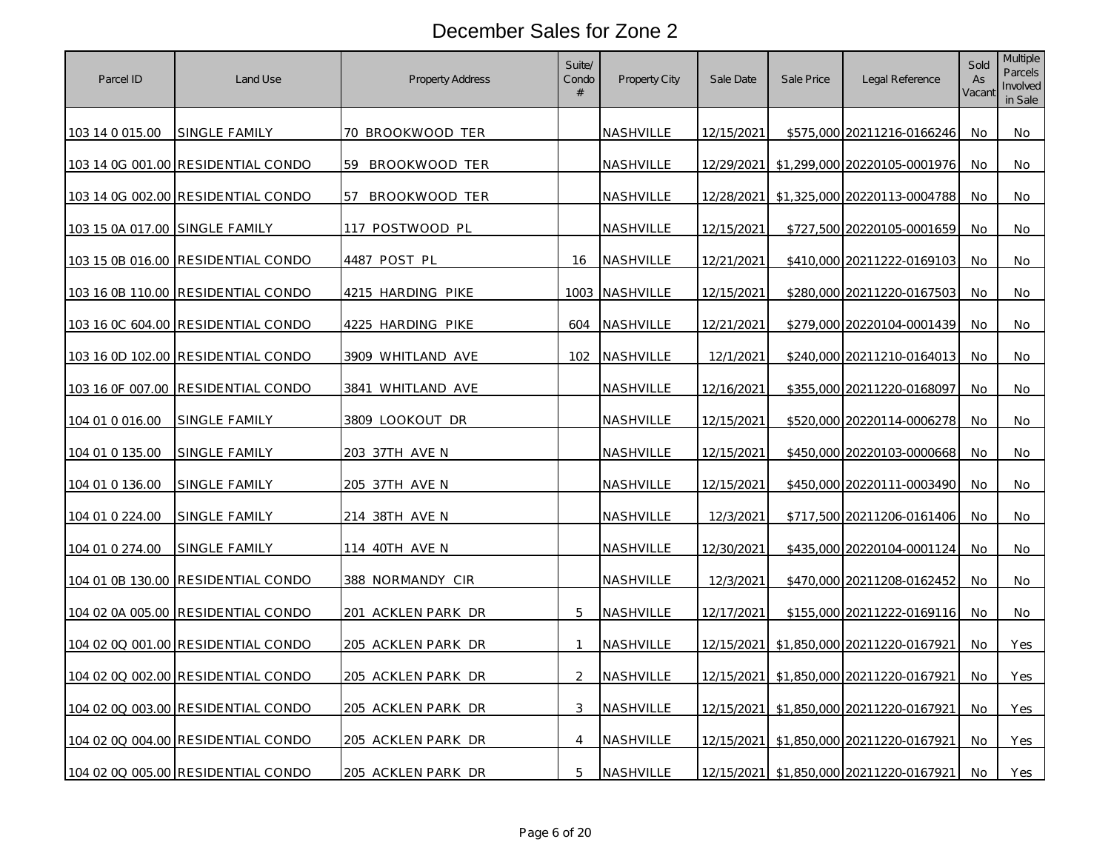| Parcel ID                      | Land Use                           | Property Address         | Suite/<br>Condo<br># | Property City    | Sale Date         | Sale Price | Legal Reference              | Sold<br>As<br>Vacant | <b>Multiple</b><br>Parcels<br>Involved<br>in Sale |
|--------------------------------|------------------------------------|--------------------------|----------------------|------------------|-------------------|------------|------------------------------|----------------------|---------------------------------------------------|
| 103 14 0 015.00                | SINGLE FAMILY                      | 70 BROOKWOOD TER         |                      | NASHVILLE        | 12/15/2021        |            | \$575,000 20211216-0166246   | No                   | No                                                |
|                                | 103 14 0G 001.00 RESIDENTIAL CONDO | 59 BROOKWOOD TER         |                      | NASHVILLE        | 12/29/2021        |            | \$1,299,000 20220105-0001976 | No.                  | No                                                |
|                                | 103 14 0G 002.00 RESIDENTIAL CONDO | BROOKWOOD TER<br>57      |                      | NASHVILLE        | 12/28/2021        |            | \$1,325,000 20220113-0004788 | No                   | No                                                |
| 103 15 0A 017.00 SINGLE FAMILY |                                    | 117 POSTWOOD PL          |                      | NASHVILLE        | 12/15/2021        |            | \$727,500 20220105-0001659   | No.                  | No                                                |
|                                | 103 15 0B 016.00 RESIDENTIAL CONDO | 4487 POST PL             | 16                   | <b>NASHVILLE</b> | 12/21/2021        |            | \$410,000 20211222-0169103   | No                   | No                                                |
|                                | 103 16 0B 110.00 RESIDENTIAL CONDO | 4215 HARDING PIKE        | 1003                 | NASHVILLE        | 12/15/2021        |            | \$280,000 20211220-0167503   | No.                  | No                                                |
|                                | 103 16 0C 604.00 RESIDENTIAL CONDO | <u>4225 HARDING PIKE</u> | 604                  | NASHVILLE        | 12/21/2021        |            | \$279,000 20220104-0001439   | No                   | No                                                |
|                                | 103 16 0D 102.00 RESIDENTIAL CONDO | 3909 WHITLAND AVE        | 102                  | NASHVILLE        | 12/1/2021         |            | \$240,000 20211210-0164013   | No                   | No                                                |
|                                | 103 16 0F 007.00 RESIDENTIAL CONDO | 3841 WHITLAND AVE        |                      | NASHVILLE        | 12/16/2021        |            | \$355,000 20211220-0168097   | No.                  | No                                                |
| 104 01 0 016.00                | SINGLE FAMILY                      | 3809 LOOKOUT DR          |                      | NASHVILLE        | 12/15/2021        |            | \$520,000 20220114-0006278   | No                   | No                                                |
| 104 01 0 135.00                | <b>SINGLE FAMILY</b>               | <u>203 37TH AVE N</u>    |                      | NASHVILLE        | <u>12/15/2021</u> |            | \$450,000 20220103-0000668   | No.                  | No                                                |
| 104 01 0 136.00                | <u>SINGLE FAMILY</u>               | <u>205 37TH AVE N</u>    |                      | NASHVILLE        | 12/15/2021        |            | \$450,000 20220111-0003490   | No                   | No                                                |
| 104 01 0 224.00                | SINGLE FAMILY                      | 214 38TH AVE N           |                      | NASHVILLE        | 12/3/2021         |            | \$717,500 20211206-0161406   | No                   | No                                                |
| 104 01 0 274.00                | SINGLE FAMILY                      | 114 40TH AVE N           |                      | NASHVILLE        | 12/30/2021        |            | \$435,000 20220104-0001124   | No                   | No                                                |
|                                | 104 01 0B 130.00 RESIDENTIAL CONDO | 388 NORMANDY CIR         |                      | NASHVILLE        | 12/3/2021         |            | \$470,000 20211208-0162452   | No                   | No                                                |
|                                | 104 02 0A 005.00 RESIDENTIAL CONDO | 201 ACKLEN PARK DR       | 5                    | NASHVILLE        | 12/17/2021        |            | \$155,000 20211222-0169116   | No                   | No                                                |
|                                | 104 02 0Q 001.00 RESIDENTIAL CONDO | 205 ACKLEN PARK DR       | $\mathbf{1}$         | NASHVILLE        | 12/15/2021        |            | \$1,850,000 20211220-0167921 | No                   | Yes                                               |
|                                | 104 02 0Q 002.00 RESIDENTIAL CONDO | 205 ACKLEN PARK DR       | 2                    | NASHVILLE        | 12/15/2021        |            | \$1,850,000 20211220-0167921 | No                   | Yes                                               |
|                                | 104 02 0Q 003.00 RESIDENTIAL CONDO | 205 ACKLEN PARK DR       | 3                    | NASHVILLE        | <u>12/15/2021</u> |            | \$1,850,000 20211220-0167921 | No                   | Yes                                               |
|                                | 104 02 0Q 004.00 RESIDENTIAL CONDO | 205 ACKLEN PARK DR       | $\overline{4}$       | NASHVILLE        | 12/15/2021        |            | \$1,850,000 20211220-0167921 | <b>No</b>            | Yes                                               |
|                                | 104 02 0Q 005.00 RESIDENTIAL CONDO | 205 ACKLEN PARK DR       | 5                    | NASHVILLE        | 12/15/2021        |            | \$1,850,000 20211220-0167921 | No.                  | Yes                                               |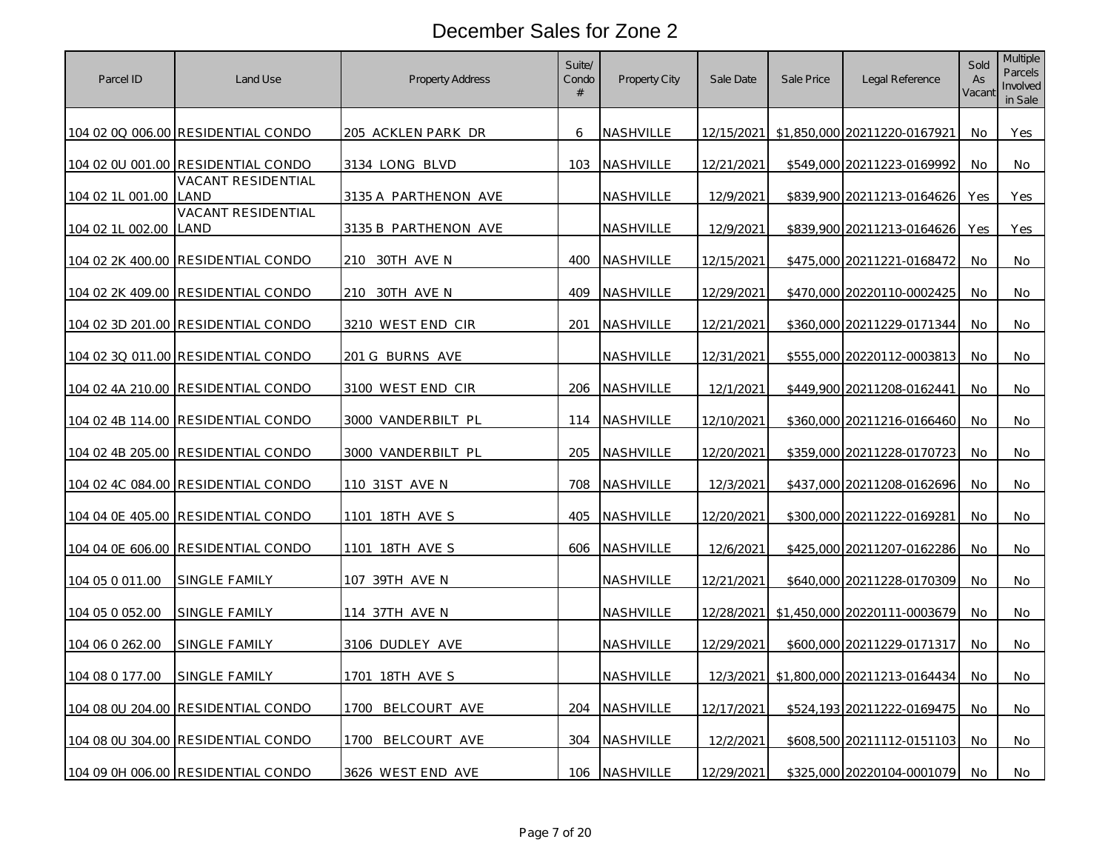| Parcel ID        | Land Use                           | <b>Property Address</b>   | Suite/<br>Condo<br># | <b>Property City</b> | Sale Date         | Sale Price | Legal Reference                   | Sold<br>As<br>Vacant | <b>Multiple</b><br><b>Parcels</b><br>Involved<br>in Sale |
|------------------|------------------------------------|---------------------------|----------------------|----------------------|-------------------|------------|-----------------------------------|----------------------|----------------------------------------------------------|
|                  | 104 02 0Q 006.00 RESIDENTIAL CONDO | <u>205 ACKLEN PARK DR</u> | 6                    | NASHVILLE            | 12/15/2021        |            | \$1,850,000 20211220-0167921      | No.                  | Yes                                                      |
| 104 02 0U 001.00 | RESIDENTIAL CONDO                  | 3134 LONG BLVD            | 103                  | NASHVILLE            | 12/21/2021        |            | \$549,000 20211223-0169992        | No.                  | No                                                       |
| 104 02 1L 001.00 | <b>VACANT RESIDENTIAL</b><br>LAND  | 3135 A PARTHENON AVE      |                      | NASHVILLE            | 12/9/2021         |            | \$839,900 20211213-0164626        | Yes                  | Yes                                                      |
| 104 02 1L 002.00 | VACANT RESIDENTIAL<br>land         | 3135 B PARTHENON AVE      |                      | NASHVILLE            | 12/9/2021         |            | \$839,900 20211213-0164626        | Yes                  | Yes                                                      |
| 104 02 2K 400.00 | RESIDENTIAL CONDO                  | 210 30TH AVE N            | 400                  | NASHVILLE            | 12/15/2021        |            | \$475,000 20211221-0168472        | No                   | No                                                       |
| 104 02 2K 409.00 | RESIDENTIAL CONDO                  | 30TH AVE N<br>210         | 409                  | NASHVILLE            | 12/29/2021        |            | \$470,000 20220110-0002425        | No                   | No                                                       |
|                  | 104 02 3D 201.00 RESIDENTIAL CONDO | 3210 WEST END CIR         | 201                  | <u>NASHVILLE</u>     | <u>12/21/2021</u> |            | \$360,000 20211229-0171344        | No.                  | No                                                       |
|                  | 104 02 3Q 011.00 RESIDENTIAL CONDO | 201 G BURNS AVE           |                      | NASHVILLE            | 12/31/2021        |            | \$555,000 20220112-0003813        | No                   | No                                                       |
| 104 02 4A 210.00 | RESIDENTIAL CONDO                  | 3100 WEST END CIR         | 206                  | NASHVILLE            | 12/1/2021         |            | \$449,900 20211208-0162441        | No                   | No                                                       |
| 104 02 4B 114.00 | RESIDENTIAL CONDO                  | 3000 VANDERBILT PL        | 114                  | NASHVILLE            | 12/10/2021        |            | \$360,000 20211216-0166460        | No.                  | No                                                       |
| 104 02 4B 205.00 | RESIDENTIAL CONDO                  | <u>3000 VANDERBILT PL</u> | 205                  | NASHVILLE            | 12/20/2021        |            | <u>\$359,000 20211228-0170723</u> | No                   | No                                                       |
| 104 02 4C 084.00 | RESIDENTIAL CONDO                  | 110 31ST AVE N            | 708                  | NASHVILLE            | 12/3/2021         |            | \$437,000 20211208-0162696        | No                   | No                                                       |
| 104 04 0E 405.00 | RESIDENTIAL CONDO                  | <u>1101 18TH AVE S</u>    | 405                  | NASHVILLE            | <u>12/20/2021</u> |            | \$300,000 20211222-0169281        | No                   | No                                                       |
| 104 04 0E 606.00 | RESIDENTIAL CONDO                  | 1101 18TH AVE S           | 606                  | NASHVILLE            | 12/6/2021         |            | \$425,000 20211207-0162286        | No                   | No                                                       |
| 104 05 0 011.00  | <b>SINGLE FAMILY</b>               | 107 39TH AVE N            |                      | NASHVILLE            | 12/21/2021        |            | \$640,000 20211228-0170309        | No                   | No                                                       |
| 104 05 0 052.00  | SINGLE FAMILY                      | 114 37TH AVE N            |                      | NASHVILLE            | 12/28/2021        |            | \$1,450,000 20220111-0003679      | No                   | No                                                       |
| 104 06 0 262.00  | SINGLE FAMILY                      | 3106 DUDLEY AVE           |                      | NASHVILLE            | 12/29/2021        |            | \$600,000 20211229-0171317        | No                   | No                                                       |
| 104 08 0 177.00  | <b>SINGLE FAMILY</b>               | <u>1701 18TH AVE S</u>    |                      | <u>NASHVILLE</u>     | 12/3/2021         |            | \$1,800,000 20211213-0164434      | No                   | No                                                       |
| 104 08 0U 204.00 | RESIDENTIAL CONDO                  | BELCOURT AVE<br>1700      | 204                  | NASHVILLE            | 12/17/2021        |            | \$524,193 20211222-0169475        | No                   | No                                                       |
|                  | 104 08 0U 304.00 RESIDENTIAL CONDO | 1700 BELCOURT AVE         | 304                  | NASHVILLE            | 12/2/2021         |            | \$608,500 20211112-0151103        | No                   | No                                                       |
|                  | 104 09 0H 006.00 RESIDENTIAL CONDO | 3626 WEST END AVE         | 106                  | NASHVILLE            | 12/29/2021        |            | \$325,000 20220104-0001079        | No.                  | No                                                       |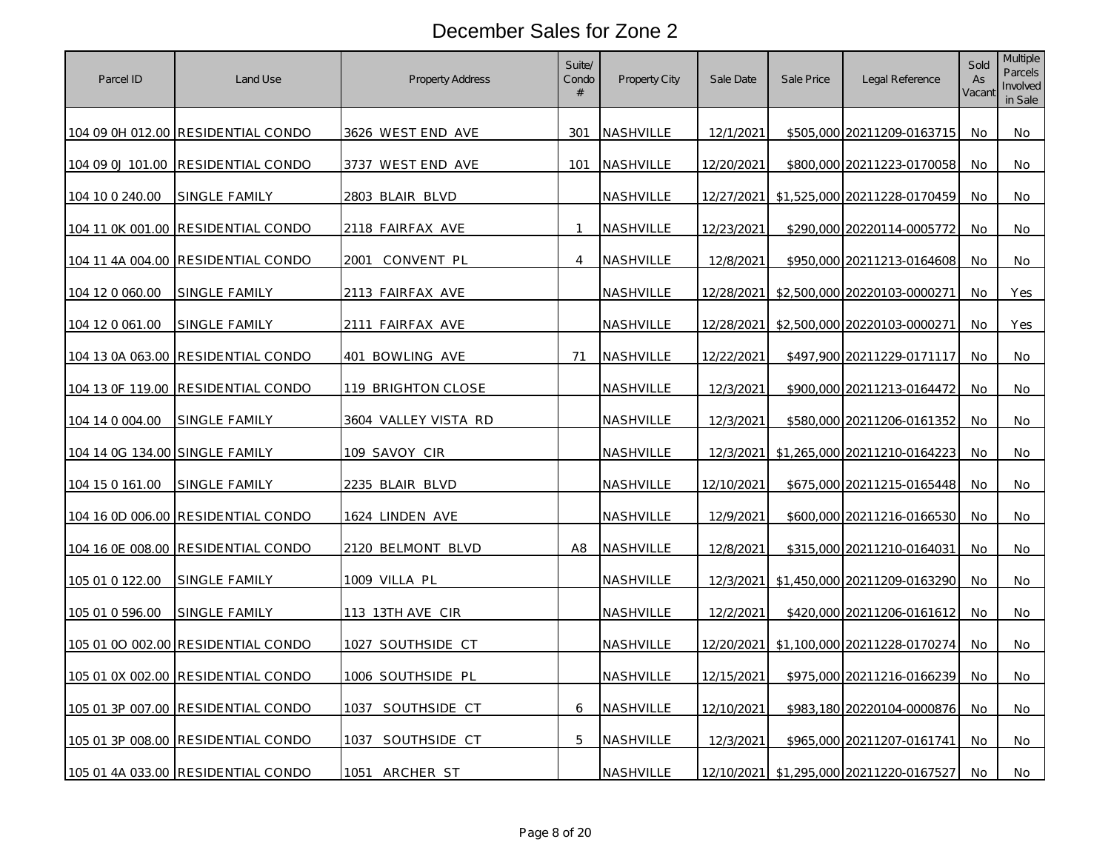| Parcel ID                      | Land Use                           | <b>Property Address</b>  | Suite/<br>Condo<br># | <b>Property City</b> | Sale Date  | Sale Price | Legal Reference              | Sold<br>As<br>Vacant | Multiple<br>Parcels<br>Involved<br>in Sale |
|--------------------------------|------------------------------------|--------------------------|----------------------|----------------------|------------|------------|------------------------------|----------------------|--------------------------------------------|
|                                | 104 09 0H 012.00 RESIDENTIAL CONDO | 3626 WEST END AVE        | 301                  | NASHVILLE            | 12/1/2021  |            | \$505,000 20211209-0163715   | No.                  | No                                         |
| 104 09 0J 101.00               | RESIDENTIAL CONDO                  | 3737 WEST END AVE        | 101                  | NASHVILLE            | 12/20/2021 |            | \$800,000 20211223-0170058   | No.                  | No.                                        |
| 104 10 0 240.00                | SINGLE FAMILY                      | 2803 BLAIR BLVD          |                      | NASHVILLE            | 12/27/2021 |            | \$1,525,000 20211228-0170459 | No                   | No                                         |
| 104 11 0K 001.00               | RESIDENTIAL CONDO                  | 2118 FAIRFAX AVE         | $\mathbf{1}$         | NASHVILLE            | 12/23/2021 |            | \$290,000 20220114-0005772   | No                   | No                                         |
|                                | 104 11 4A 004.00 RESIDENTIAL CONDO | 2001<br>convent pl       | $\overline{4}$       | NASHVILLE            | 12/8/2021  |            | \$950,000 20211213-0164608   | No.                  | No                                         |
| 104 12 0 060.00                | SINGLE FAMILY                      | 2113 FAIRFAX AVE         |                      | NASHVILLE            | 12/28/2021 |            | \$2,500,000 20220103-0000271 | No                   | Yes                                        |
| 104 12 0 061.00                | <u>SINGLE FAMILY</u>               | 2111 FAIRFAX AVE         |                      | <u>NASHVILLE</u>     | 12/28/2021 |            | \$2,500,000 20220103-0000271 | No.                  | Yes                                        |
| 104 13 0A 063.00               | RESIDENTIAL CONDO                  | 401 BOWLING AVE          | 71                   | NASHVILLE            | 12/22/2021 |            | \$497,900 20211229-0171117   | No                   | No                                         |
| 104 13 OF 119.00               | RESIDENTIAL CONDO                  | 119 BRIGHTON CLOSE       |                      | NASHVILLE            | 12/3/2021  |            | \$900,000 20211213-0164472   | No                   | No                                         |
| 104 14 0 004 00                | SINGLE FAMILY                      | 3604 VALLEY VISTA RD     |                      | NASHVILLE            | 12/3/2021  |            | \$580,000 20211206-0161352   | No.                  | No.                                        |
| 104 14 0G 134.00 SINGLE FAMILY |                                    | <u>109 SAVOY CIR</u>     |                      | NASHVILLE            | 12/3/2021  |            | \$1,265,000 20211210-0164223 | No                   | No                                         |
| 104 15 0 161.00                | <u>SINGLE FAMILY</u>               | 2235 BLAIR BLVD          |                      | NASHVILLE            | 12/10/2021 |            | \$675,000 20211215-0165448   | No                   | No                                         |
|                                | 104 16 0D 006.00 RESIDENTIAL CONDO | 1624 LINDEN AVE          |                      | NASHVILLE            | 12/9/2021  |            | \$600,000 20211216-0166530   | No                   | No.                                        |
| 104 16 0E 008.00               | RESIDENTIAL CONDO                  | 2120 BELMONT BLVD        | A8                   | NASHVILLE            | 12/8/2021  |            | \$315,000 20211210-0164031   | No                   | No                                         |
| 105 01 0 122.00                | <b>SINGLE FAMILY</b>               | 1009 VILLA PL            |                      | NASHVILLE            | 12/3/2021  |            | \$1,450,000 20211209-0163290 | No                   | No                                         |
| 105 01 0 596.00                | SINGLE FAMILY                      | <u>113 13TH AVE CIR</u>  |                      | NASHVILLE            | 12/2/2021  |            | \$420,000 20211206-0161612   | No                   | No                                         |
|                                | 105 01 00 002.00 RESIDENTIAL CONDO | 1027 SOUTHSIDE CT        |                      | NASHVILLE            | 12/20/2021 |            | \$1,100,000 20211228-0170274 | No                   | No                                         |
| 105 01 0X 002.00               | RESIDENTIAL CONDO                  | <u>1006 SOUTHSIDE PL</u> |                      | NASHVILLE            | 12/15/2021 |            | \$975,000 20211216-0166239   | No                   | No                                         |
| 105 01 3P 007.00               | RESIDENTIAL CONDO                  | 1037 SOUTHSIDE CT        | 6                    | NASHVILLE            | 12/10/2021 |            | \$983,180 20220104-0000876   | No                   | No                                         |
| 105 01 3P 008.00               | RESIDENTIAL CONDO                  | 1037 SOUTHSIDE CT        | $\mathbf 5$          | NASHVILLE            | 12/3/2021  |            | \$965,000 20211207-0161741   | <b>No</b>            | No                                         |
|                                | 105 01 4A 033.00 RESIDENTIAL CONDO | 1051 ARCHER ST           |                      | NASHVILLE            | 12/10/2021 |            | \$1,295,000 20211220-0167527 | No                   | No                                         |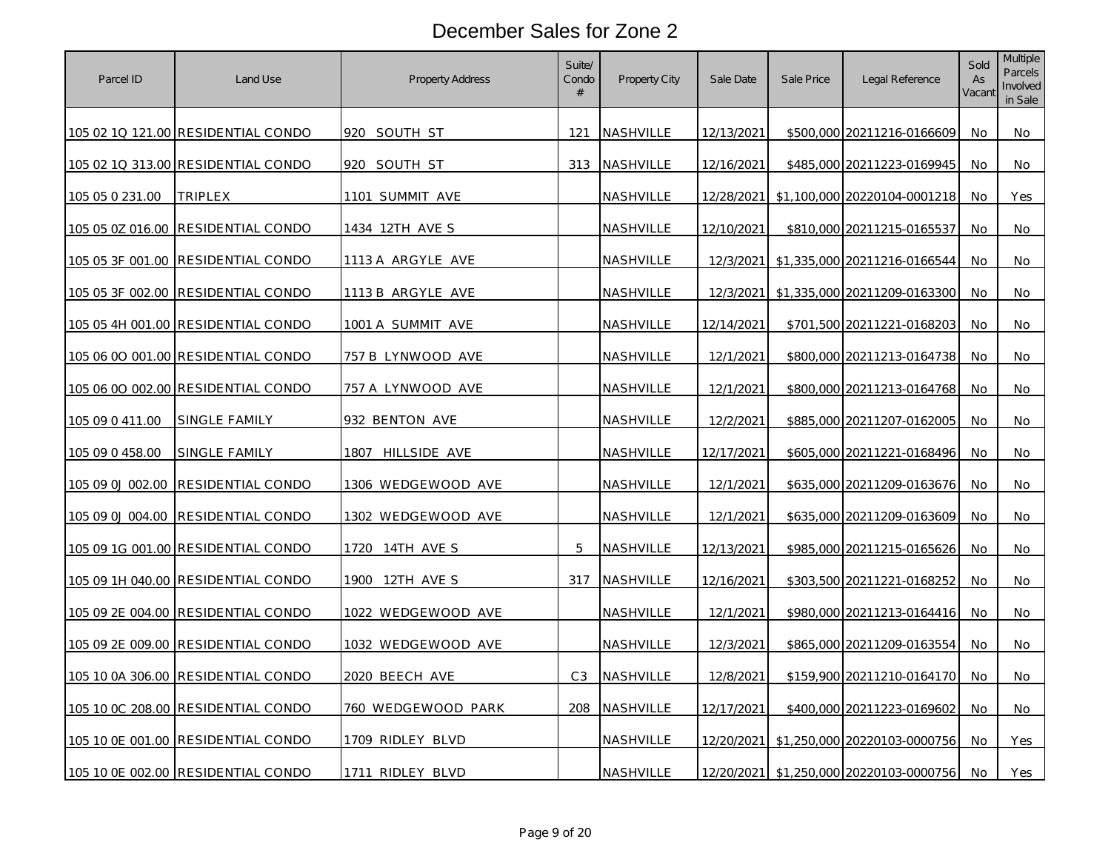| Parcel ID        | Land Use                           | <b>Property Address</b>   | Suite/<br>Condo<br># | Property City    | Sale Date         | Sale Price | Legal Reference              | Sold<br>As<br>Vacant | Multiple<br>Parcels<br>Involved<br>in Sale |
|------------------|------------------------------------|---------------------------|----------------------|------------------|-------------------|------------|------------------------------|----------------------|--------------------------------------------|
|                  | 105 02 1Q 121.00 RESIDENTIAL CONDO | 920 SOUTH ST              | 121                  | <b>NASHVILLE</b> | 12/13/2021        |            | \$500,000 20211216-0166609   | No.                  | No                                         |
|                  | 105 02 1Q 313.00 RESIDENTIAL CONDO | 920 SOUTH ST              | 313                  | NASHVILLE        | 12/16/2021        |            | \$485,000 20211223-0169945   | No.                  | No.                                        |
| 105 05 0 231.00  | TRIPLEX                            | 1101 SUMMIT AVE           |                      | NASHVILLE        | 12/28/2021        |            | \$1,100,000 20220104-0001218 | No                   | Yes                                        |
| 105 05 0Z 016.00 | RESIDENTIAL CONDO                  | 1434 12TH AVE S           |                      | NASHVILLE        | <u>12/10/2021</u> |            | \$810,000 20211215-0165537   | No                   | No                                         |
|                  | 105 05 3F 001.00 RESIDENTIAL CONDO | 1113 A ARGYLE AVE         |                      | NASHVILLE        | 12/3/2021         |            | \$1,335,000 20211216-0166544 | No                   | No                                         |
| 105 05 3F 002.00 | RESIDENTIAL CONDO                  | 1113 B ARGYLE AVE         |                      | NASHVILLE        | 12/3/2021         |            | \$1,335,000 20211209-0163300 | No                   | No                                         |
|                  | 105 05 4H 001.00 RESIDENTIAL CONDO | <u>1001 A SUMMIT AVE</u>  |                      | <u>NASHVILLE</u> | <u>12/14/2021</u> |            | \$701,500 20211221-0168203   | No.                  | No                                         |
|                  | 105 06 00 001.00 RESIDENTIAL CONDO | 757 B LYNWOOD AVE         |                      | NASHVILLE        | 12/1/2021         |            | \$800,000 20211213-0164738   | No                   | No                                         |
|                  | 105 06 00 002.00 RESIDENTIAL CONDO | 757 A LYNWOOD AVE         |                      | NASHVILLE        | 12/1/2021         |            | \$800,000 20211213-0164768   | No                   | No                                         |
| 105 09 0 411 00  | SINGLE FAMILY                      | 932 BENTON AVE            |                      | NASHVILLE        | 12/2/2021         |            | \$885,000 20211207-0162005   | No.                  | No.                                        |
| 105 09 0 458.00  | <u>SINGLE FAMILY</u>               | 1807 HILLSIDE AVE         |                      | <u>NASHVILLE</u> | 12/17/2021        |            | \$605,000 20211221-0168496   | No                   | No                                         |
| 105 09 0J 002.00 | RESIDENTIAL CONDO                  | <u>1306 WEDGEWOOD AVE</u> |                      | NASHVILLE        | 12/1/2021         |            | \$635,000 20211209-0163676   | No                   | No                                         |
| 105 09 0J 004.00 | RESIDENTIAL CONDO                  | 1302 WEDGEWOOD AVE        |                      | NASHVILLE        | 12/1/2021         |            | \$635,000 20211209-0163609   | No                   | No.                                        |
|                  | 105 09 1G 001.00 RESIDENTIAL CONDO | 1720 14TH AVE S           | 5                    | NASHVILLE        | 12/13/2021        |            | \$985,000 20211215-0165626   | No                   | No                                         |
|                  | 105 09 1H 040.00 RESIDENTIAL CONDO | 1900 12TH AVE S           | 317                  | NASHVILLE        | 12/16/2021        |            | \$303,500 20211221-0168252   | No                   | No                                         |
|                  | 105 09 2E 004.00 RESIDENTIAL CONDO | <u>1022 WEDGEWOOD AVE</u> |                      | NASHVILLE        | 12/1/2021         |            | \$980,000 20211213-0164416   | No                   | No                                         |
| 105 09 2E 009.00 | RESIDENTIAL CONDO                  | 1032 WEDGEWOOD AVE        |                      | NASHVILLE        | 12/3/2021         |            | \$865,000 20211209-0163554   | No                   | No                                         |
| 105 10 0A 306.00 | RESIDENTIAL CONDO                  | 2020 BEECH AVE            | C <sub>3</sub>       | NASHVILLE        | 12/8/2021         |            | \$159,900 20211210-0164170   | No                   | No                                         |
|                  | 105 10 0C 208.00 RESIDENTIAL CONDO | 760 WEDGEWOOD PARK        | 208                  | NASHVILLE        | 12/17/2021        |            | \$400,000 20211223-0169602   | No                   | No                                         |
|                  | 105 10 0E 001.00 RESIDENTIAL CONDO | 1709 RIDLEY BLVD          |                      | NASHVILLE        | 12/20/2021        |            | \$1,250,000 20220103-0000756 | <b>No</b>            | Yes                                        |
|                  | 105 10 0E 002.00 RESIDENTIAL CONDO | 1711 RIDLEY BLVD          |                      | NASHVILLE        | 12/20/2021        |            | \$1,250,000 20220103-0000756 | No                   | Yes                                        |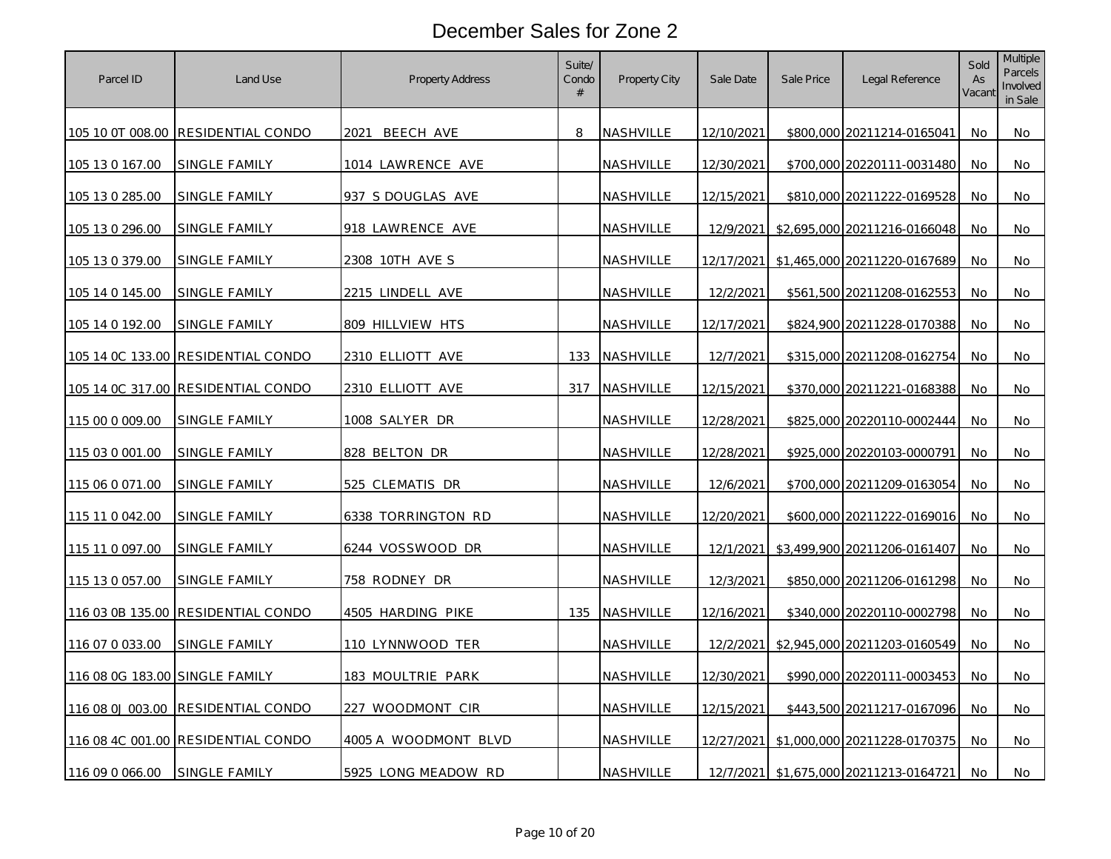| Parcel ID                      | Land Use                           | <b>Property Address</b> | Suite/<br>Condo<br># | Property City    | Sale Date         | Sale Price | Legal Reference              | Sold<br>As<br>Vacant | Multiple<br>Parcels<br>Involved<br>in Sale |
|--------------------------------|------------------------------------|-------------------------|----------------------|------------------|-------------------|------------|------------------------------|----------------------|--------------------------------------------|
| 105 10 0T 008.00               | RESIDENTIAL CONDO                  | 2021<br>BEECH AVE       | 8                    | <b>NASHVILLE</b> | 12/10/2021        |            | \$800,000 20211214-0165041   | No.                  | No                                         |
| 105 13 0 167.00                | SINGLE FAMILY                      | 1014 LAWRENCE AVE       |                      | NASHVILLE        | 12/30/2021        |            | \$700,000 20220111-0031480   | No.                  | No                                         |
| 105 13 0 285.00                | <b>SINGLE FAMILY</b>               | 937 S DOUGLAS AVE       |                      | NASHVILLE        | 12/15/2021        |            | \$810,000 20211222-0169528   | No                   | No                                         |
| 105 13 0 296.00                | SINGLE FAMILY                      | 918 LAWRENCE AVE        |                      | NASHVILLE        | 12/9/2021         |            | \$2,695,000 20211216-0166048 | No                   | No                                         |
| 105 13 0 379.00                | <u>SINGLE FAMILY</u>               | 2308 10TH AVE S         |                      | <u>NASHVILLE</u> | 12/17/2021        |            | \$1,465,000 20211220-0167689 | No                   | No                                         |
| 105 14 0 145.00                | <u>SINGLE FAMILY</u>               | 2215 LINDELL AVE        |                      | <u>NASHVILLE</u> | 12/2/2021         |            | \$561,500 20211208-0162553   | No                   | No                                         |
| 105 14 0 192.00                | SINGLE FAMILY                      | 809 HILLVIEW HTS        |                      | NASHVILLE        | 12/17/2021        |            | \$824,900 20211228-0170388   | <b>No</b>            | No                                         |
|                                | 105 14 0C 133.00 RESIDENTIAL CONDO | <u>2310 ELLIOTT AVE</u> | 133                  | NASHVILLE        | 12/7/2021         |            | \$315,000 20211208-0162754   | No                   | No                                         |
| 105 14 0C 317.00               | RESIDENTIAL CONDO                  | 2310 ELLIOTT AVE        | 317                  | NASHVILLE        | 12/15/2021        |            | \$370,000 20211221-0168388   | No                   | No.                                        |
| 115 00 0 009.00                | SINGLE FAMILY                      | 1008 SALYER DR          |                      | NASHVILLE        | 12/28/2021        |            | \$825,000 20220110-0002444   | No                   | No                                         |
| 115 03 0 001.00                | <u>SINGLE FAMILY</u>               | 828 BELTON DR           |                      | NASHVILLE        | <u>12/28/2021</u> |            | \$925,000 20220103-0000791   | No                   | No                                         |
| 115 06 0 071 00                | <b>SINGLE FAMILY</b>               | 525 CLEMATIS DR         |                      | NASHVILLE        | 12/6/2021         |            | \$700,000 20211209-0163054   | No                   | No                                         |
| 115 11 0 042.00                | SINGLE FAMILY                      | 6338 TORRINGTON RD      |                      | NASHVILLE        | 12/20/2021        |            | \$600,000 20211222-0169016   | No                   | No                                         |
| 115 11 0 097 00                | SINGLE FAMILY                      | 6244 VOSSWOOD DR        |                      | NASHVILLE        | 12/1/2021         |            | \$3,499,900 20211206-0161407 | No                   | No                                         |
| 115 13 0 057.00                | SINGLE FAMILY                      | 758 RODNEY DR           |                      | NASHVILLE        | 12/3/2021         |            | \$850,000 20211206-0161298   | No                   | No                                         |
| 116 03 0B 135.00               | RESIDENTIAL CONDO                  | 4505 HARDING PIKE       | 135                  | NASHVILLE        | 12/16/2021        |            | \$340,000 20220110-0002798   | No                   | No                                         |
| 116 07 0 033.00                | SINGLE FAMILY                      | 110 LYNNWOOD TER        |                      | NASHVILLE        | 12/2/2021         |            | \$2,945,000 20211203-0160549 | No                   | No                                         |
| 116 08 0G 183.00 SINGLE FAMILY |                                    | 183 MOULTRIE PARK       |                      | NASHVILLE        | 12/30/2021        |            | \$990,000 20220111-0003453   | No                   | No                                         |
| 116 08 0J 003.00               | RESIDENTIAL CONDO                  | 227 WOODMONT CIR        |                      | NASHVILLE        | 12/15/2021        |            | \$443,500 20211217-0167096   | No                   | No                                         |
|                                | 116 08 4C 001.00 RESIDENTIAL CONDO | 4005 A WOODMONT BLVD    |                      | NASHVILLE        | 12/27/2021        |            | \$1,000,000 20211228-0170375 | No.                  | No                                         |
| 116 09 0 066.00                | SINGLE FAMILY                      | 5925 LONG MEADOW RD     |                      | NASHVILLE        | 12/7/2021         |            | \$1,675,000 20211213-0164721 | No.                  | No                                         |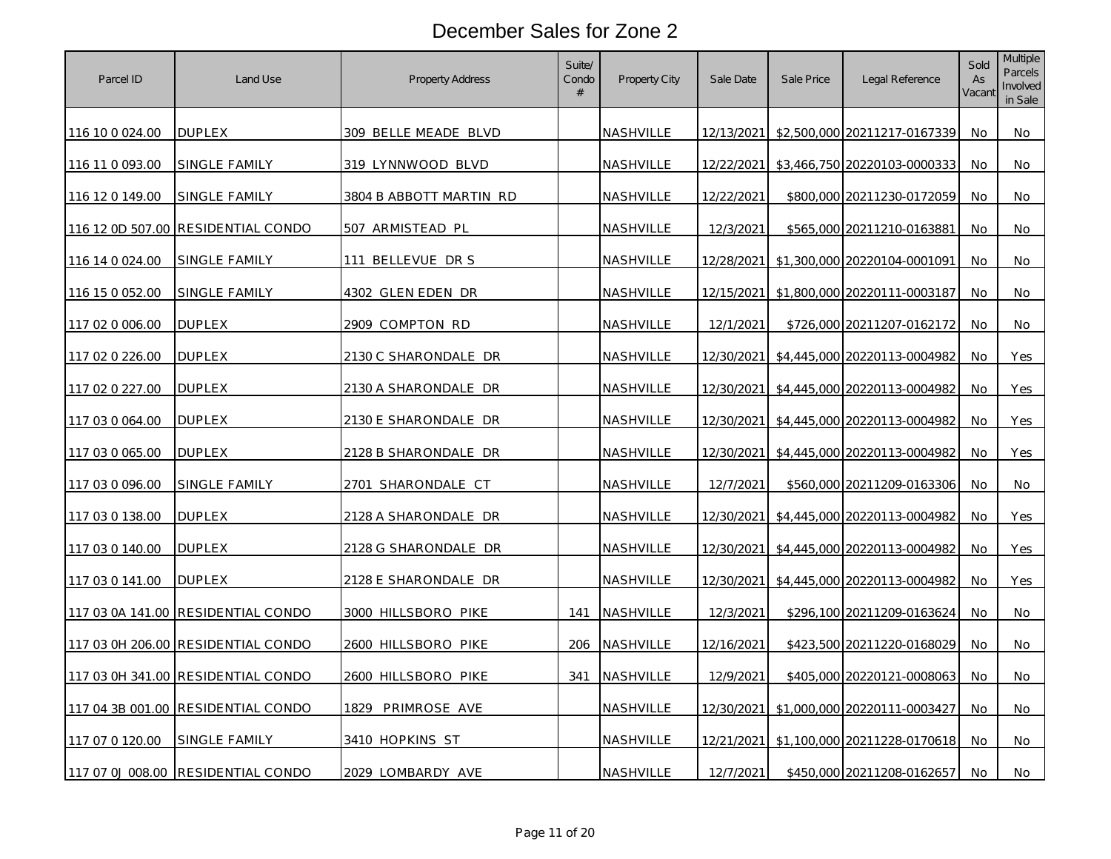| Parcel ID           | Land Use                           | <b>Property Address</b>     | Suite/<br>Condo<br># | Property City    | Sale Date  | Sale Price | Legal Reference              | Sold<br>As<br>Vacant | <b>Multiple</b><br><b>Parcels</b><br>Involved<br>in Sale |
|---------------------|------------------------------------|-----------------------------|----------------------|------------------|------------|------------|------------------------------|----------------------|----------------------------------------------------------|
| 116 10 0 0 2 4 .0 0 | <b>DUPLEX</b>                      | 309 BELLE MEADE BLVD        |                      | <b>NASHVILLE</b> | 12/13/2021 |            | \$2,500,000 20211217-0167339 | No.                  | No                                                       |
| 116 11 0 093.00     | SINGLE FAMILY                      | 319 LYNNWOOD BLVD           |                      | NASHVILLE        | 12/22/2021 |            | \$3,466,750 20220103-0000333 | No.                  | No                                                       |
| 116 12 0 149.00     | SINGLE FAMILY                      | 3804 B ABBOTT MARTIN RD     |                      | NASHVILLE        | 12/22/2021 |            | \$800,000 20211230-0172059   | No                   | No                                                       |
|                     | 116 12 0D 507.00 RESIDENTIAL CONDO | 507 ARMISTEAD PL            |                      | NASHVILLE        | 12/3/2021  |            | \$565,000 20211210-0163881   | No.                  | No                                                       |
| 116 14 0 024.00     | <u>SINGLE FAMILY</u>               | 111 BELLEVUE DR S           |                      | NASHVILLE        | 12/28/2021 |            | \$1,300,000 20220104-0001091 | No                   | No                                                       |
| 116 15 0 052.00     | <u>SINGLE FAMILY</u>               | 4302 GLEN EDEN DR           |                      | NASHVILLE        | 12/15/2021 |            | \$1,800,000 20220111-0003187 | No.                  | No                                                       |
| 117 02 0 006.00     | <b>DUPLEX</b>                      | 2909 COMPTON RD             |                      | NASHVILLE        | 12/1/2021  |            | \$726,000 20211207-0162172   | No.                  | No                                                       |
| 117 02 0 226.00     | <b>DUPLEX</b>                      | 2130 C SHARONDALE DR        |                      | NASHVILLE        | 12/30/2021 |            | \$4,445,000 20220113-0004982 | No                   | Yes                                                      |
| 117 02 0 227.00     | <b>DUPLEX</b>                      | <u>2130 A SHARONDALE DR</u> |                      | NASHVILLE        | 12/30/2021 |            | \$4,445,000 20220113-0004982 | No                   | Yes                                                      |
| 117 03 0 064.00     | <b>DUPLEX</b>                      | 2130 E SHARONDALE DR        |                      | NASHVILLE        | 12/30/2021 |            | \$4,445,000 20220113-0004982 | No                   | Yes                                                      |
| 117 03 0 065.00     | DUPLEX                             | 2128 B SHARONDALE DR        |                      | NASHVILLE        | 12/30/2021 |            | \$4,445,000 20220113-0004982 | No                   | Yes                                                      |
| 117 03 0 096.00     | SINGLE FAMILY                      | 2701 SHARONDALE CT          |                      | NASHVILLE        | 12/7/2021  |            | \$560,000 20211209-0163306   | No                   | No                                                       |
| 117 03 0 138.00     | <b>DUPLEX</b>                      | 2128 A SHARONDALE DR        |                      | NASHVILLE        | 12/30/2021 |            | \$4,445,000 20220113-0004982 | No                   | Yes                                                      |
| 117 03 0 140.00     | <b>DUPLEX</b>                      | 2128 G SHARONDALE DR        |                      | NASHVILLE        | 12/30/2021 |            | \$4,445,000 20220113-0004982 | No                   | Yes                                                      |
| 117 03 0 141.00     | <b>DUPLEX</b>                      | 2128 E SHARONDALE DR        |                      | NASHVILLE        | 12/30/2021 |            | \$4,445,000 20220113-0004982 | No                   | Yes                                                      |
|                     | 117 03 0A 141.00 RESIDENTIAL CONDO | 3000 HILLSBORO PIKE         | 141                  | NASHVILLE        | 12/3/2021  |            | \$296,100 20211209-0163624   | No                   | No                                                       |
|                     | 117 03 0H 206.00 RESIDENTIAL CONDO | 2600 HILLSBORO PIKE         | 206                  | NASHVILLE        | 12/16/2021 |            | \$423,500 20211220-0168029   | No                   | No                                                       |
|                     | 117 03 0H 341.00 RESIDENTIAL CONDO | 2600 HILLSBORO PIKE         | 341                  | NASHVILLE        | 12/9/2021  |            | \$405,000 20220121-0008063   | No.                  | No                                                       |
|                     | 117 04 3B 001.00 RESIDENTIAL CONDO | PRIMROSE AVE<br>1829.       |                      | NASHVILLE        | 12/30/2021 |            | \$1,000,000 20220111-0003427 | No                   | No                                                       |
| 117 07 0 120.00     | SINGLE FAMILY                      | 3410 HOPKINS ST             |                      | NASHVILLE        | 12/21/2021 |            | \$1,100,000 20211228-0170618 | No                   | No                                                       |
|                     | 117 07 0J 008.00 RESIDENTIAL CONDO | 2029 LOMBARDY AVE           |                      | NASHVILLE        | 12/7/2021  |            | \$450,000 20211208-0162657   | No.                  | No                                                       |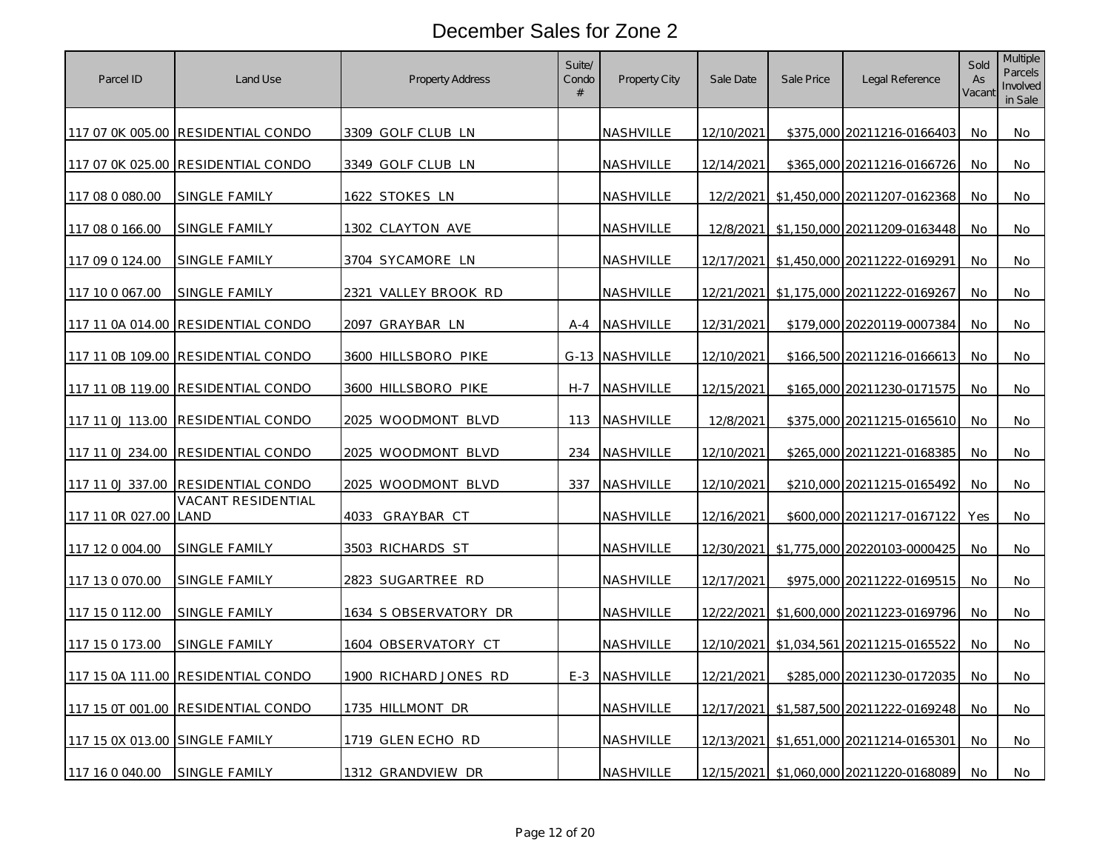| Parcel ID                      | Land Use                           | Property Address          | Suite/<br>Condo<br># | <b>Property City</b> | Sale Date  | Sale Price | Legal Reference              | Sold<br>As<br>Vacant | <b>Multiple</b><br><b>Parcels</b><br>Involved<br>in Sale |
|--------------------------------|------------------------------------|---------------------------|----------------------|----------------------|------------|------------|------------------------------|----------------------|----------------------------------------------------------|
|                                | 117 07 0K 005.00 RESIDENTIAL CONDO | 3309 GOLF CLUB LN         |                      | NASHVILLE            | 12/10/2021 |            | \$375,000 20211216-0166403   | No.                  | No                                                       |
|                                | 117 07 0K 025.00 RESIDENTIAL CONDO | 3349 GOLF CLUB LN         |                      | NASHVILLE            | 12/14/2021 |            | \$365,000 20211216-0166726   | No                   | No                                                       |
| 117 08 0 080.00                | <b>SINGLE FAMILY</b>               | 1622 STOKES LN            |                      | NASHVILLE            | 12/2/2021  |            | \$1,450,000 20211207-0162368 | No                   | No                                                       |
| 117 08 0 166.00                | SINGLE FAMILY                      | 1302 CLAYTON AVE          |                      | NASHVILLE            | 12/8/2021  |            | \$1,150,000 20211209-0163448 | No.                  | No                                                       |
| 117 09 0 124.00                | SINGLE FAMILY                      | 3704 SYCAMORE LN          |                      | NASHVILLE            | 12/17/2021 |            | \$1,450,000 20211222-0169291 | No                   | No                                                       |
| 117 10 0 067.00                | SINGLE FAMILY                      | VALLEY BROOK RD<br>2321   |                      | <u>NASHVILLE</u>     | 12/21/2021 |            | \$1,175,000 20211222-0169267 | No.                  | No                                                       |
|                                | 117 11 0A 014.00 RESIDENTIAL CONDO | 2097 GRAYBAR LN           | A-4                  | NASHVILLE            | 12/31/2021 |            | \$179,000 20220119-0007384   | No.                  | No                                                       |
|                                | 117 11 0B 109.00 RESIDENTIAL CONDO | 3600 HILLSBORO PIKE       |                      | G-13 NASHVILLE       | 12/10/2021 |            | \$166,500 20211216-0166613   | No                   | No                                                       |
| 117 11 0B 119.00               | <b>RESIDENTIAL CONDO</b>           | 3600 HILLSBORO PIKE       | $H - 7$              | NASHVILLE            | 12/15/2021 |            | \$165,000 20211230-0171575   | No                   | No                                                       |
| 117 11 0J 113.00               | RESIDENTIAL CONDO                  | 2025 WOODMONT BLVD        | 113                  | NASHVILLE            | 12/8/2021  |            | \$375,000 20211215-0165610   | No                   | No                                                       |
| 117 11 0J 234.00               | RESIDENTIAL CONDO                  | <u>2025 WOODMONT BLVD</u> | 234                  | <b>NASHVILLE</b>     | 12/10/2021 |            | \$265,000 20211221-0168385   | No                   | No                                                       |
| 117 11 0J 337.00               | RESIDENTIAL CONDO                  | 2025 WOODMONT BLVD        | 337                  | NASHVILLE            | 12/10/2021 |            | \$210,000 20211215-0165492   | No                   | No                                                       |
| 117 11 0R 027.00 LAND          | <b>VACANT RESIDENTIAL</b>          | 4033 GRAYBAR CT           |                      | NASHVILLE            | 12/16/2021 |            | \$600,000 20211217-0167122   | Yes                  | No                                                       |
| 117 12 0 004.00                | SINGLE FAMILY                      | 3503 RICHARDS ST          |                      | NASHVILLE            | 12/30/2021 |            | \$1,775,000 20220103-0000425 | No                   | No                                                       |
| 117 13 0 070.00                | SINGLE FAMILY                      | 2823 SUGARTREE RD         |                      | NASHVILLE            | 12/17/2021 |            | \$975,000 20211222-0169515   | No                   | No                                                       |
| 117 15 0 112.00                | SINGLE FAMILY                      | 1634 SOBSERVATORY DR      |                      | NASHVILLE            | 12/22/2021 |            | \$1,600,000 20211223-0169796 | No                   | No                                                       |
| 117 15 0 173.00                | SINGLE FAMILY                      | 1604 OBSERVATORY CT       |                      | NASHVILLE            | 12/10/2021 |            | \$1,034,561 20211215-0165522 | No                   | No                                                       |
|                                | 117 15 0A 111.00 RESIDENTIAL CONDO | 1900 RICHARD JONES RD     | $E-3$                | NASHVILLE            | 12/21/2021 |            | \$285,000 20211230-0172035   | No.                  | No                                                       |
| 117 15 OT 001.00               | RESIDENTIAL CONDO                  | 1735 HILLMONT DR          |                      | NASHVILLE            | 12/17/2021 |            | \$1,587,500 20211222-0169248 | No                   | No.                                                      |
| 117 15 0X 013.00 SINGLE FAMILY |                                    | 1719 GLEN ECHO RD         |                      | NASHVILLE            | 12/13/2021 |            | \$1,651,000 20211214-0165301 | No                   | No                                                       |
| 117 16 0 040.00                | <b>SINGLE FAMILY</b>               | 1312 GRANDVIEW DR         |                      | NASHVILLE            | 12/15/2021 |            | \$1,060,000 20211220-0168089 | No.                  | No                                                       |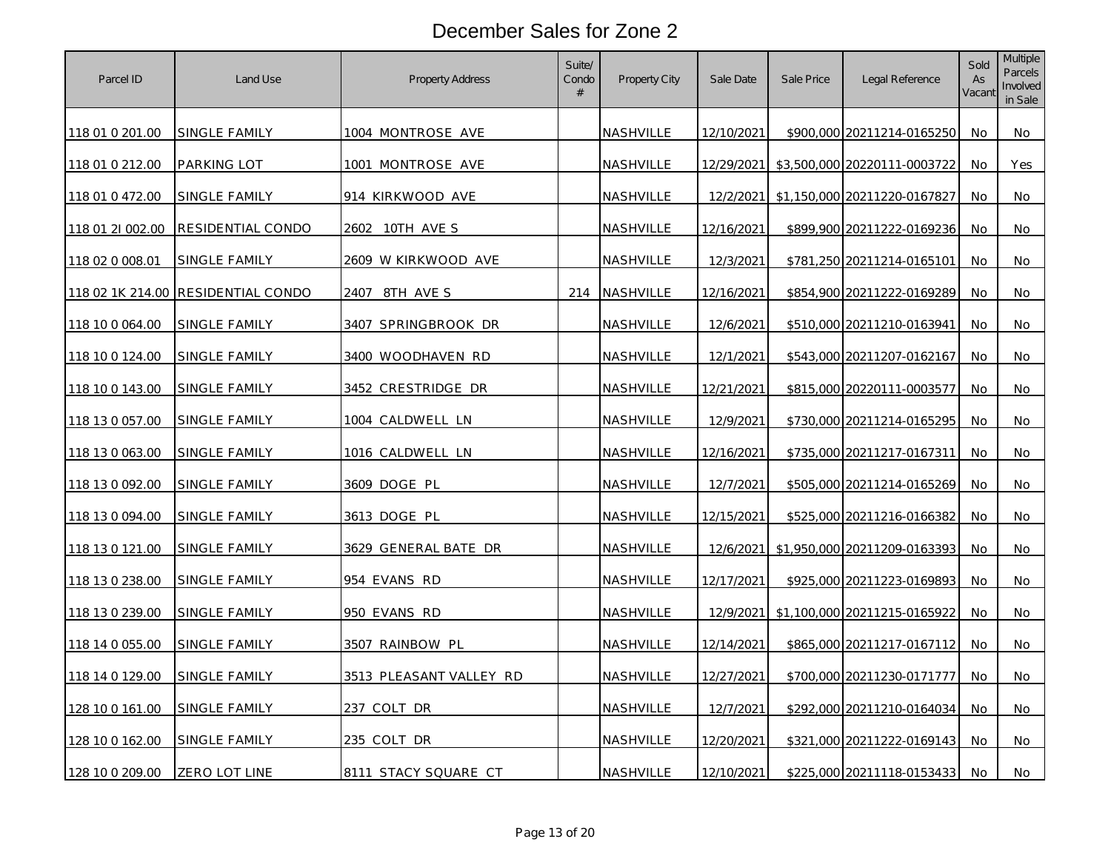| Parcel ID        | Land Use                           | Property Address        | Suite/<br>Condo<br># | Property City    | Sale Date         | Sale Price | Legal Reference              | Sold<br>As<br>Vacant | <b>Multiple</b><br><b>Parcels</b><br>Involved<br>in Sale |
|------------------|------------------------------------|-------------------------|----------------------|------------------|-------------------|------------|------------------------------|----------------------|----------------------------------------------------------|
| 118 01 0 201.00  | <b>SINGLE FAMILY</b>               | 1004 MONTROSE AVE       |                      | NASHVILLE        | 12/10/2021        |            | \$900,000 20211214-0165250   | No.                  | No                                                       |
| 118 01 0 212.00  | PARKING LOT                        | 1001 MONTROSE AVE       |                      | NASHVILLE        | 12/29/2021        |            | \$3,500,000 20220111-0003722 | No.                  | Yes                                                      |
| 118 01 0 472.00  | SINGLE FAMILY                      | 914 KIRKWOOD AVE        |                      | NASHVILLE        | 12/2/2021         |            | \$1,150,000 20211220-0167827 | No                   | No                                                       |
| 118 01 21 002.00 | RESIDENTIAL CONDO                  | 2602.<br>10TH AVE S     |                      | NASHVILLE        | 12/16/2021        |            | \$899,900 20211222-0169236   | No.                  | No                                                       |
| 118 02 0 008.01  | <b>SINGLE FAMILY</b>               | 2609 W KIRKWOOD AVE     |                      | NASHVILLE        | 12/3/2021         |            | \$781,250 20211214-0165101   | No                   | No                                                       |
|                  | 118 02 1K 214.00 RESIDENTIAL CONDO | 2407<br>8TH AVE S       | 214                  | NASHVILLE        | 12/16/2021        |            | \$854,900 20211222-0169289   | No.                  | No                                                       |
| 118 10 0 064.00  | SINGLE FAMILY                      | 3407 SPRINGBROOK DR     |                      | NASHVILLE        | 12/6/2021         |            | \$510,000 20211210-0163941   | No.                  | No                                                       |
| 118 10 0 124.00  | <b>SINGLE FAMILY</b>               | 3400 WOODHAVEN RD       |                      | NASHVILLE        | 12/1/2021         |            | \$543,000 20211207-0162167   | No                   | No                                                       |
| 118 10 0 143.00  | <b>SINGLE FAMILY</b>               | 3452 CRESTRIDGE DR      |                      | NASHVILLE        | 12/21/2021        |            | \$815,000 20220111-0003577   | No.                  | No                                                       |
| 118 13 0 057.00  | SINGLE FAMILY                      | 1004 CALDWELL LN        |                      | NASHVILLE        | 12/9/2021         |            | \$730,000 20211214-0165295   | No                   | No                                                       |
| 118 13 0 063.00  | <u>SINGLE FAMILY</u>               | 1016 CALDWELL LN        |                      | <u>NASHVILLE</u> | <u>12/16/2021</u> |            | \$735,000 20211217-0167311   | No                   | No                                                       |
| 118 13 0 092.00  | <b>SINGLE FAMILY</b>               | 3609 DOGE PL            |                      | NASHVILLE        | 12/7/2021         |            | \$505,000 20211214-0165269   | No                   | No                                                       |
| 118 13 0 094.00  | SINGLE FAMILY                      | 3613 DOGE PL            |                      | NASHVILLE        | 12/15/2021        |            | \$525,000 20211216-0166382   | No                   | No                                                       |
| 118 13 0 121.00  | SINGLE FAMILY                      | 3629 GENERAL BATE DR    |                      | NASHVILLE        | 12/6/2021         |            | \$1,950,000 20211209-0163393 | No                   | No                                                       |
| 118 13 0 238.00  | SINGLE FAMILY                      | 954 EVANS RD            |                      | NASHVILLE        | 12/17/2021        |            | \$925,000 20211223-0169893   | No                   | No                                                       |
| 118 13 0 239.00  | SINGLE FAMILY                      | 950 EVANS RD            |                      | NASHVILLE        | 12/9/2021         |            | \$1,100,000 20211215-0165922 | No                   | No                                                       |
| 118 14 0 055.00  | SINGLE FAMILY                      | 3507 RAINBOW PL         |                      | NASHVILLE        | 12/14/2021        |            | \$865,000 20211217-0167112   | No                   | No                                                       |
| 118 14 0 129.00  | SINGLE FAMILY                      | 3513 PLEASANT VALLEY RD |                      | NASHVILLE        | 12/27/2021        |            | \$700,000 20211230-0171777   | No.                  | No                                                       |
| 128 10 0 161.00  | SINGLE FAMILY                      | 237 COLT DR             |                      | NASHVILLE        | 12/7/2021         |            | \$292,000 20211210-0164034   | No                   | No                                                       |
| 128 10 0 162.00  | SINGLE FAMILY                      | 235 COLT DR             |                      | NASHVILLE        | 12/20/2021        |            | \$321,000 20211222-0169143   | No.                  | No                                                       |
| 128 10 0 209.00  | ZERO LOT LINE                      | 8111 STACY SQUARE CT    |                      | NASHVILLE        | 12/10/2021        |            | \$225,000 20211118-0153433   | No.                  | No                                                       |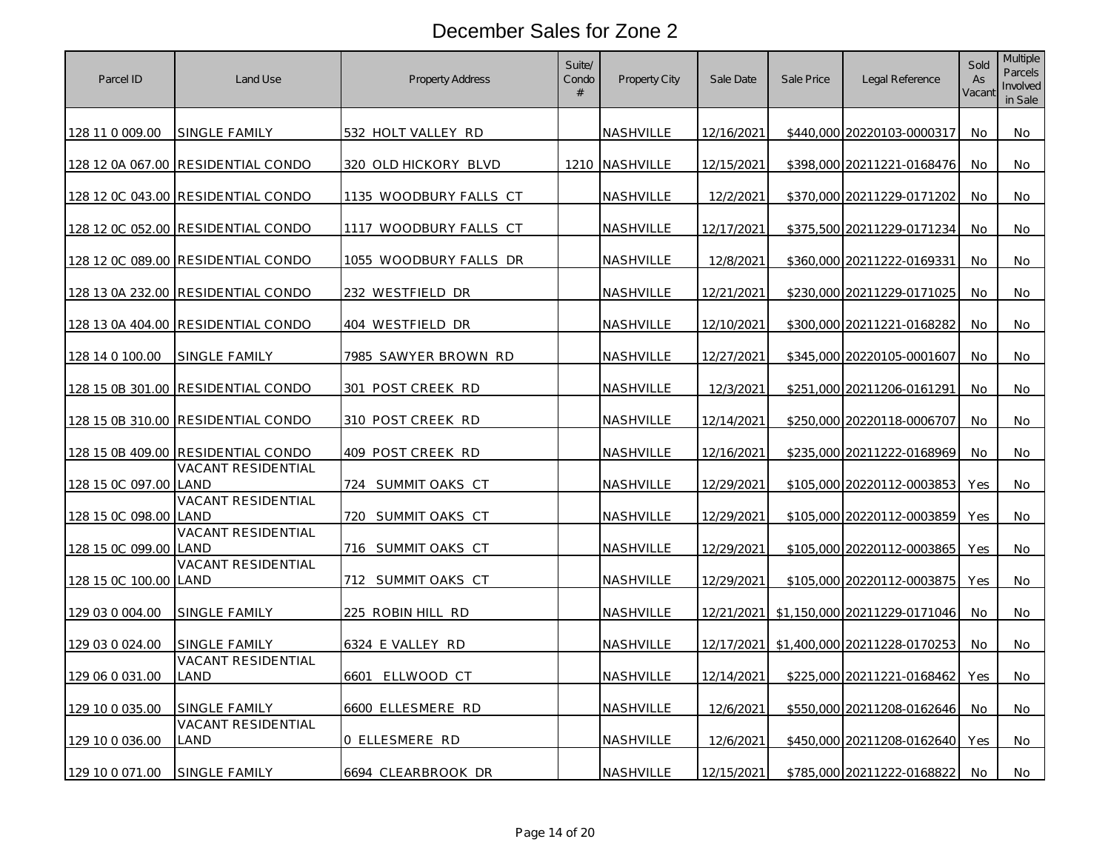| Parcel ID        | Land Use                           | <b>Property Address</b> | Suite/<br>Condo<br># | Property City    | Sale Date         | Sale Price | Legal Reference              | Sold<br>As<br>Vacant | <b>Multiple</b><br><b>Parcels</b><br>Involved<br>in Sale |
|------------------|------------------------------------|-------------------------|----------------------|------------------|-------------------|------------|------------------------------|----------------------|----------------------------------------------------------|
| 128 11 0 009.00  | SINGLE FAMILY                      | 532 HOLT VALLEY RD      |                      | <b>NASHVILLE</b> | 12/16/2021        |            | \$440,000 20220103-0000317   | No.                  | No                                                       |
|                  | 128 12 0A 067.00 RESIDENTIAL CONDO | 320 OLD HICKORY BLVD    |                      | 1210 NASHVILLE   | 12/15/2021        |            | \$398,000 20211221-0168476   | No.                  | No                                                       |
|                  | 128 12 0C 043.00 RESIDENTIAL CONDO | 1135 WOODBURY FALLS CT  |                      | NASHVILLE        | 12/2/2021         |            | \$370,000 20211229-0171202   | No                   | No                                                       |
|                  | 128 12 0C 052.00 RESIDENTIAL CONDO | 1117 WOODBURY FALLS CT  |                      | NASHVILLE        | 12/17/2021        |            | \$375,500 20211229-0171234   | No.                  | No                                                       |
|                  | 128 12 0C 089.00 RESIDENTIAL CONDO | 1055 WOODBURY FALLS DR  |                      | NASHVILLE        | 12/8/2021         |            | \$360,000 20211222-0169331   | No                   | No                                                       |
|                  | 128 13 0A 232.00 RESIDENTIAL CONDO | 232 WESTFIELD DR        |                      | <u>NASHVILLE</u> | 12/21/2021        |            | \$230,000 20211229-0171025   | No.                  | No                                                       |
|                  | 128 13 0A 404.00 RESIDENTIAL CONDO | 404 WESTFIELD DR        |                      | NASHVILLE        | 12/10/2021        |            | \$300,000 20211221-0168282   | <b>No</b>            | No                                                       |
| 128 14 0 100.00  | SINGLE FAMILY                      | 7985 SAWYER BROWN RD    |                      | NASHVILLE        | 12/27/2021        |            | \$345,000 20220105-0001607   | No                   | No                                                       |
| 128 15 0B 301.00 | <b>RESIDENTIAL CONDO</b>           | 301 POST CREEK RD       |                      | NASHVILLE        | 12/3/2021         |            | \$251,000 20211206-0161291   | No.                  | No                                                       |
|                  | 128 15 0B 310.00 RESIDENTIAL CONDO | 310 POST CREEK RD       |                      | NASHVILLE        | 12/14/2021        |            | \$250,000 20220118-0006707   | No                   | No                                                       |
| 128 15 0B 409.00 | <b>RESIDENTIAL CONDO</b>           | 409 POST CREEK RD       |                      | <u>NASHVILLE</u> | <u>12/16/2021</u> |            | \$235,000 20211222-0168969   | No                   | No                                                       |
| 128 15 0C 097.00 | VACANT RESIDENTIAL<br>LAND         | 724 SUMMIT OAKS CT      |                      | NASHVILLE        | 12/29/2021        |            | \$105,000 20220112-0003853   | Yes                  | No                                                       |
| 128 15 0C 098.00 | VACANT RESIDENTIAL<br>LAND         | 720 SUMMIT OAKS CT      |                      | NASHVILLE        | 12/29/2021        |            | \$105,000 20220112-0003859   | Yes                  | No                                                       |
| 128 15 0C 099.00 | VACANT RESIDENTIAL<br>LAND         | 716 SUMMIT OAKS CT      |                      | <b>NASHVILLE</b> | 12/29/2021        |            | \$105,000 20220112-0003865   | Yes                  | No                                                       |
| 128 15 0C 100.00 | VACANT RESIDENTIAL<br>LAND         | 712 SUMMIT OAKS CT      |                      | NASHVILLE        | 12/29/2021        |            | \$105,000 20220112-0003875   | Yes                  | No                                                       |
| 129 03 0 004.00  | SINGLE FAMILY                      | 225 ROBIN HILL RD       |                      | NASHVILLE        | 12/21/2021        |            | \$1,150,000 20211229-0171046 | No                   | No                                                       |
| 129 03 0 024.00  | SINGLE FAMILY                      | 6324 E VALLEY RD        |                      | NASHVILLE        | 12/17/2021        |            | \$1,400,000 20211228-0170253 | No.                  | No                                                       |
| 129 06 0 031 00  | <b>VACANT RESIDENTIAL</b><br>_AND  | ELLWOOD CT<br>6601      |                      | NASHVILLE        | 12/14/2021        |            | \$225,000 20211221-0168462   | Yes                  | No                                                       |
| 129 10 0 035.00  | SINGLE FAMILY                      | 6600 ELLESMERE RD       |                      | NASHVILLE        | 12/6/2021         |            | \$550,000 20211208-0162646   | No                   | No.                                                      |
| 129 10 0 036.00  | <b>VACANT RESIDENTIAL</b><br>LAND  | 0 ELLESMERE RD          |                      | NASHVILLE        | 12/6/2021         |            | \$450,000 20211208-0162640   | Yes                  | No                                                       |
| 129 10 0 071.00  | SINGLE FAMILY                      | 6694 CLEARBROOK DR      |                      | NASHVILLE        | 12/15/2021        |            | \$785,000 20211222-0168822   | No.                  | No                                                       |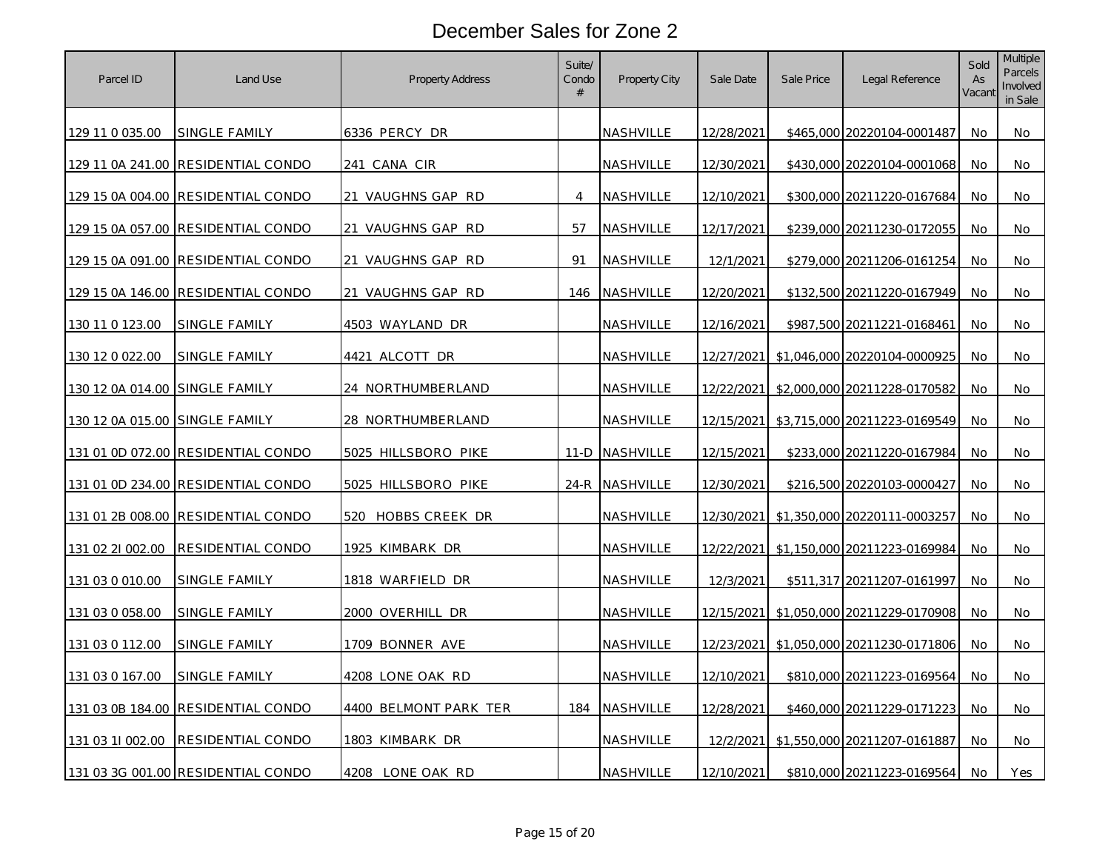| Parcel ID                      | Land Use                           | <b>Property Address</b> | Suite/<br>Condo<br># | Property City    | Sale Date         | Sale Price | Legal Reference              | Sold<br>As<br>Vacant | Multiple<br>Parcels<br>Involved<br>in Sale |
|--------------------------------|------------------------------------|-------------------------|----------------------|------------------|-------------------|------------|------------------------------|----------------------|--------------------------------------------|
| 129 11 0 035.00                | <u>SINGLE FAMILY</u>               | 6336 PERCY DR           |                      | NASHVILLE        | 12/28/2021        |            | \$465,000 20220104-0001487   | No.                  | No                                         |
|                                | 129 11 0A 241.00 RESIDENTIAL CONDO | 241 CANA CIR            |                      | NASHVILLE        | 12/30/2021        |            | \$430,000 20220104-0001068   | No.                  | No.                                        |
|                                | 129 15 0A 004.00 RESIDENTIAL CONDO | 21 VAUGHNS GAP RD       | $\overline{4}$       | NASHVILLE        | 12/10/2021        |            | \$300,000 20211220-0167684   | No                   | No                                         |
|                                | 129 15 0A 057.00 RESIDENTIAL CONDO | 21 VAUGHNS GAP RD       | 57                   | NASHVILLE        | 12/17/2021        |            | \$239,000 20211230-0172055   | No                   | No                                         |
|                                | 129 15 0A 091.00 RESIDENTIAL CONDO | 21 VAUGHNS GAP RD       | 91                   | NASHVILLE        | 12/1/2021         |            | \$279,000 20211206-0161254   | No                   | No                                         |
|                                | 129 15 0A 146.00 RESIDENTIAL CONDO | 21 VAUGHNS GAP RD       | 146                  | NASHVILLE        | 12/20/2021        |            | \$132,500 20211220-0167949   | No                   | No                                         |
| 130 11 0 123.00                | <u>SINGLE FAMILY</u>               | 4503 WAYLAND DR         |                      | <u>NASHVILLE</u> | <u>12/16/2021</u> |            | \$987,500 20211221-0168461   | No.                  | No                                         |
| 130 12 0 022.00                | SINGLE FAMILY                      | 4421 ALCOTT DR          |                      | NASHVILLE        | 12/27/2021        |            | \$1,046,000 20220104-0000925 | No                   | No                                         |
| 130 12 0A 014.00 SINGLE FAMILY |                                    | 24 NORTHUMBERLAND       |                      | NASHVILLE        | 12/22/2021        |            | \$2,000,000 20211228-0170582 | No                   | No                                         |
| 130 12 0A 015.00 SINGLE FAMILY |                                    | 28 NORTHUMBERLAND       |                      | NASHVILLE        | 12/15/2021        |            | \$3,715,000 20211223-0169549 | No.                  | No.                                        |
|                                | 131 01 0D 072.00 RESIDENTIAL CONDO | 5025 HILLSBORO PIKE     | $11-D$               | NASHVILLE        | 12/15/2021        |            | \$233,000 20211220-0167984   | No                   | No                                         |
|                                | 131 01 0D 234.00 RESIDENTIAL CONDO | 5025 HILLSBORO PIKE     |                      | 24-R NASHVILLE   | 12/30/2021        |            | \$216,500 20220103-0000427   | No                   | No                                         |
|                                | 131 01 2B 008.00 RESIDENTIAL CONDO | 520 HOBBS CREEK DR      |                      | NASHVILLE        | 12/30/2021        |            | \$1,350,000 20220111-0003257 | No                   | No.                                        |
| 131 02 21 002.00               | RESIDENTIAL CONDO                  | 1925 KIMBARK DR         |                      | NASHVILLE        | 12/22/2021        |            | \$1,150,000 20211223-0169984 | No                   | No                                         |
| 131 03 0 010.00                | SINGLE FAMILY                      | 1818 WARFIELD DR        |                      | NASHVILLE        | 12/3/2021         |            | \$511,317 20211207-0161997   | No                   | No                                         |
| 131 03 0 058.00                | SINGLE FAMILY                      | <u>2000 OVERHILL DR</u> |                      | NASHVILLE        | 12/15/2021        |            | \$1,050,000 20211229-0170908 | No.                  | No                                         |
| 131 03 0 112.00                | <b>SINGLE FAMILY</b>               | 1709 BONNER AVE         |                      | NASHVILLE        | 12/23/2021        |            | \$1,050,000 20211230-0171806 | No                   | No                                         |
| 131 03 0 167.00                | <u>SINGLE FAMILY</u>               | 4208 LONE OAK RD        |                      | <u>NASHVILLE</u> | <u>12/10/2021</u> |            | \$810,000 20211223-0169564   | No                   | No                                         |
| 131 03 0B 184.00               | RESIDENTIAL CONDO                  | 4400 BELMONT PARK TER   | 184                  | NASHVILLE        | 12/28/2021        |            | \$460,000 20211229-0171223   | No                   | No                                         |
| 131 03 11 002.00               | RESIDENTIAL CONDO                  | 1803 KIMBARK DR         |                      | NASHVILLE        | 12/2/2021         |            | \$1,550,000 20211207-0161887 | <b>No</b>            | No                                         |
|                                | 131 03 3G 001.00 RESIDENTIAL CONDO | 4208 LONE OAK RD        |                      | NASHVILLE        | 12/10/2021        |            | \$810,000 20211223-0169564   | No                   | Yes                                        |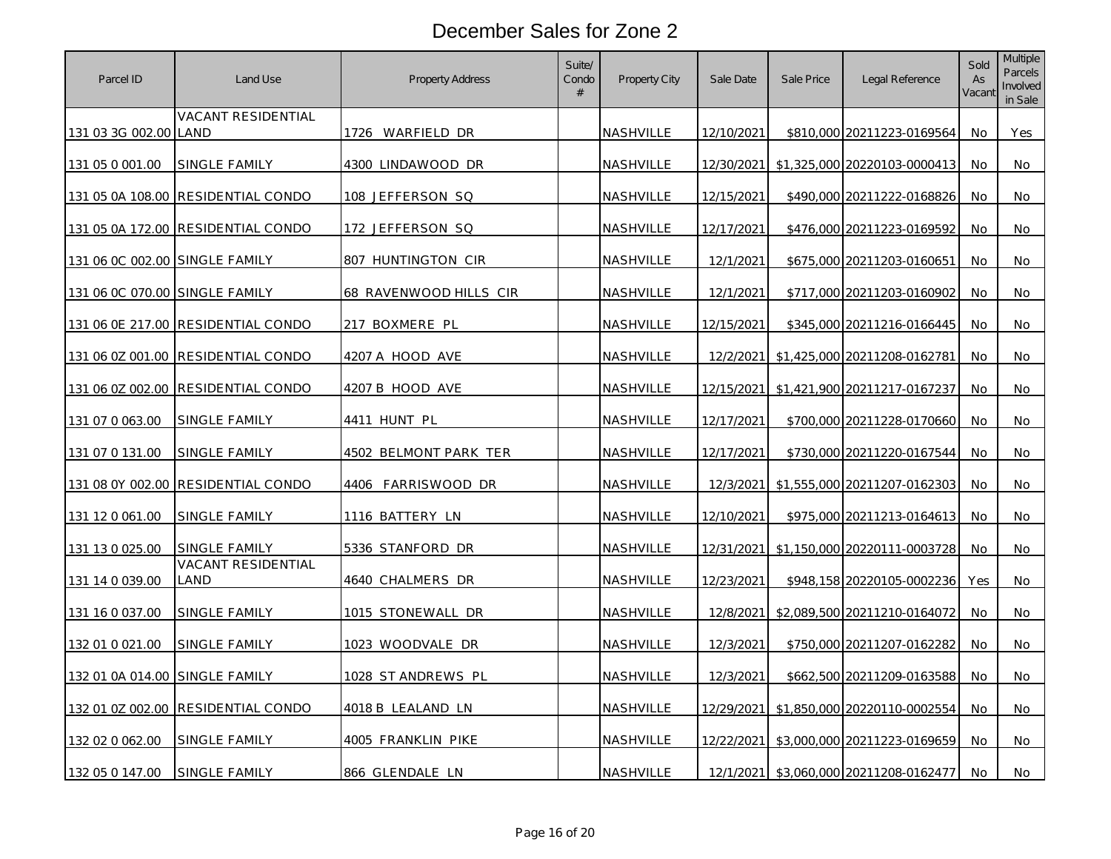| Parcel ID                      | Land Use                   | <b>Property Address</b> | Suite/<br>Condo<br># | Property City    | Sale Date  | Sale Price | Legal Reference                         | Sold<br>As<br>Vacant | Multiple<br>Parcels<br>Involved<br>in Sale |
|--------------------------------|----------------------------|-------------------------|----------------------|------------------|------------|------------|-----------------------------------------|----------------------|--------------------------------------------|
| 131 03 3G 002.00 LAND          | VACANT RESIDENTIAL         | 1726 WARFIELD DR        |                      | NASHVILLE        | 12/10/2021 |            | \$810,000 20211223-0169564              | No                   | Yes                                        |
| 131 05 0 001.00                | SINGLE FAMILY              | 4300 LINDAWOOD DR       |                      | NASHVILLE        | 12/30/2021 |            | \$1,325,000 20220103-0000413            | No                   | No                                         |
| 131 05 0A 108.00               | <b>RESIDENTIAL CONDO</b>   | 108 JEFFERSON SQ        |                      | <b>NASHVILLE</b> | 12/15/2021 |            | \$490,000 20211222-0168826              | No                   | No                                         |
| 131 05 0A 172.00               | RESIDENTIAL CONDO          | 172 JEFFERSON SQ        |                      | NASHVILLE        | 12/17/2021 |            | \$476,000 20211223-0169592              | No                   | No                                         |
| 131 06 0C 002.00 SINGLE FAMILY |                            | 807 HUNTINGTON CIR      |                      | NASHVILLE        | 12/1/2021  |            | \$675,000 20211203-0160651              | No.                  | No.                                        |
| 131 06 0C 070.00               | SINGLE FAMILY              | 68 RAVENWOOD HILLS CIR  |                      | NASHVILLE        | 12/1/2021  |            | \$717,000 20211203-0160902              | No                   | No                                         |
| 131 06 0E 217.00               | <b>RESIDENTIAL CONDO</b>   | <u>217 boxmere pl</u>   |                      | <u>NASHVILLE</u> | 12/15/2021 |            | \$345,000 20211216-0166445              | No                   | No                                         |
| 131 06 0Z 001.00               | RESIDENTIAL CONDO          | 4207 A HOOD AVE         |                      | NASHVILLE        | 12/2/2021  |            | \$1,425,000 20211208-0162781            | No                   | No                                         |
| 131 06 0Z 002.00               | RESIDENTIAL CONDO          | 4207 B HOOD AVE         |                      | NASHVILLE        | 12/15/2021 |            | \$1,421,900 20211217-0167237            | No                   | No                                         |
| 131 07 0 063.00                | SINGLE FAMILY              | 4411 HUNT PL            |                      | NASHVILLE        | 12/17/2021 |            | \$700,000 20211228-0170660              | No                   | No                                         |
| 131 07 0 131 00                | SINGLE FAMILY              | 4502 BELMONT PARK TER   |                      | <u>NASHVILLE</u> | 12/17/2021 |            | \$730,000 20211220-0167544              | No                   | No                                         |
| 131 08 0Y 002.00               | RESIDENTIAL CONDO          | 4406 FARRISWOOD DR      |                      | NASHVILLE        | 12/3/2021  |            | \$1,555,000 20211207-0162303            | No                   | No                                         |
| 131 12 0 061.00                | SINGLE FAMILY              | 1116 BATTERY LN         |                      | NASHVILLE        | 12/10/2021 |            | \$975,000 20211213-0164613              | No                   | No                                         |
| 131 13 0 025.00                | SINGLE FAMILY              | 5336 STANFORD DR        |                      | NASHVILLE        |            |            | 12/31/2021 \$1,150,000 20220111-0003728 | No                   | No                                         |
| 131 14 0 039.00                | VACANT RESIDENTIAL<br>land | 4640 CHALMERS DR        |                      | NASHVILLE        | 12/23/2021 |            | \$948,158 20220105-0002236              | <b>Yes</b>           | No                                         |
| 131 16 0 037.00                | SINGLE FAMILY              | 1015 STONEWALL DR       |                      | NASHVILLE        |            |            | 12/8/2021 \$2,089,500 20211210-0164072  | No                   | No                                         |
| 132 01 0 021.00                | SINGLE FAMILY              | 1023 WOODVALE DR        |                      | NASHVILLE        | 12/3/2021  |            | \$750,000 20211207-0162282              | No                   | No                                         |
| 132 01 0A 014.00               | SINGLE FAMILY              | 1028 ST ANDREWS PL      |                      | NASHVILLE        | 12/3/2021  |            | \$662,500 20211209-0163588              | No                   | No                                         |
| 132 01 0Z 002.00               | RESIDENTIAL CONDO          | 4018 B LEALAND LN       |                      | NASHVILLE        | 12/29/2021 |            | \$1,850,000 20220110-0002554            | No                   | No.                                        |
| 132 02 0 062.00                | SINGLE FAMILY              | 4005 FRANKLIN PIKE      |                      | NASHVILLE        | 12/22/2021 |            | \$3,000,000 20211223-0169659            | No                   | No                                         |
| 132 05 0 147.00                | SINGLE FAMILY              | 866 GLENDALE LN         |                      | NASHVILLE        | 12/1/2021  |            | \$3,060,000 20211208-0162477            | No                   | No                                         |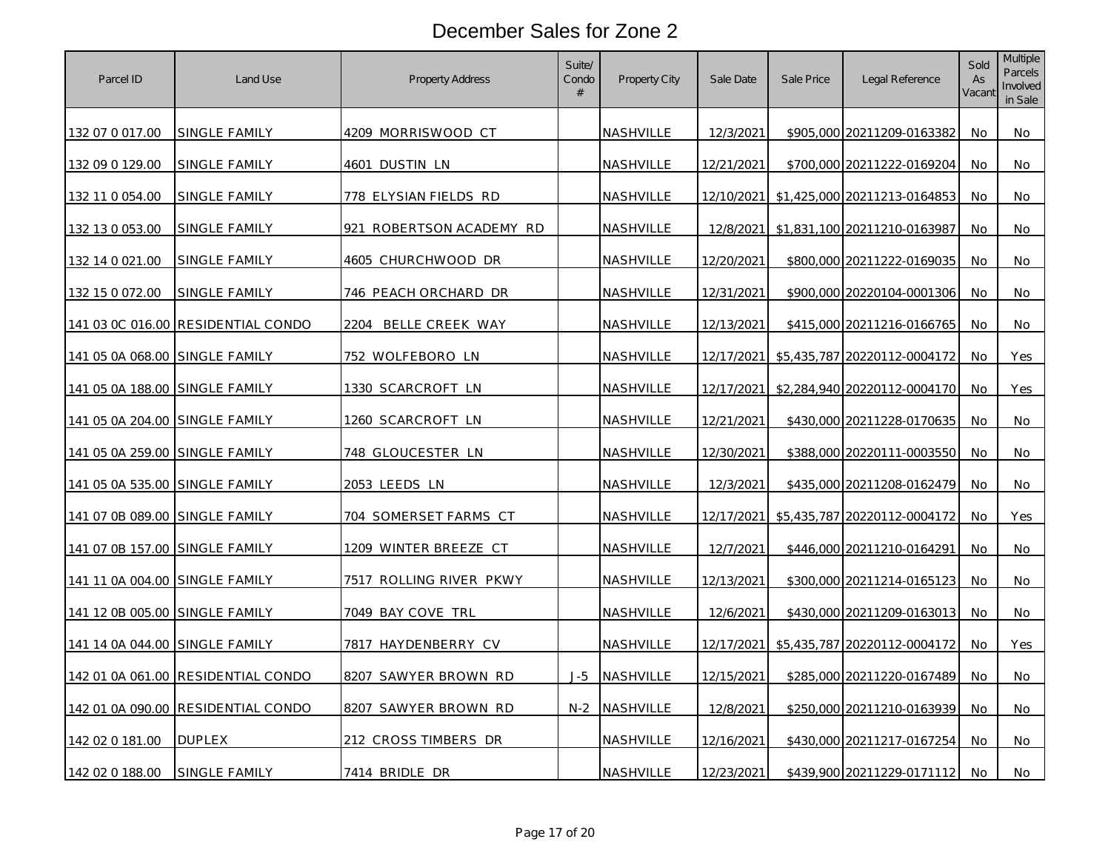| Parcel ID                      | Land Use                           | Property Address            | Suite/<br>Condo<br># | <b>Property City</b> | Sale Date  | Sale Price | Legal Reference              | Sold<br>As<br>Vacant | <b>Multiple</b><br><b>Parcels</b><br>Involved<br>in Sale |
|--------------------------------|------------------------------------|-----------------------------|----------------------|----------------------|------------|------------|------------------------------|----------------------|----------------------------------------------------------|
| 132 07 0 017.00                | <b>SINGLE FAMILY</b>               | 4209 MORRISWOOD CT          |                      | <b>NASHVILLE</b>     | 12/3/2021  |            | \$905,000 20211209-0163382   | No.                  | No                                                       |
| 132 09 0 129.00                | SINGLE FAMILY                      | 4601 DUSTIN LN              |                      | NASHVILLE            | 12/21/2021 |            | \$700,000 20211222-0169204   | No.                  | No                                                       |
| 132 11 0 054.00                | SINGLE FAMILY                      | 778 ELYSIAN FIELDS RD       |                      | NASHVILLE            | 12/10/2021 |            | \$1,425,000 20211213-0164853 | No                   | No                                                       |
| 132 13 0 053.00                | SINGLE FAMILY                      | 921 ROBERTSON ACADEMY RD    |                      | NASHVILLE            | 12/8/2021  |            | \$1,831,100 20211210-0163987 | No.                  | No                                                       |
| 132 14 0 021.00                | SINGLE FAMILY                      | 4605 CHURCHWOOD DR          |                      | NASHVILLE            | 12/20/2021 |            | \$800,000 20211222-0169035   | No                   | No                                                       |
| 132 15 0 072.00                | <b>SINGLE FAMILY</b>               | <u>746 PEACH ORCHARD DR</u> |                      | <u>NASHVILLE</u>     | 12/31/2021 |            | \$900,000 20220104-0001306   | No.                  | No                                                       |
|                                | 141 03 0C 016.00 RESIDENTIAL CONDO | BELLE CREEK WAY<br>2204     |                      | NASHVILLE            | 12/13/2021 |            | \$415,000 20211216-0166765   | No.                  | No                                                       |
| 141 05 0A 068.00 SINGLE FAMILY |                                    | 752 WOLFEBORO LN            |                      | NASHVILLE            | 12/17/2021 |            | \$5,435,787 20220112-0004172 | No                   | Yes                                                      |
| 141 05 0A 188.00               | <b>SINGLE FAMILY</b>               | 1330 SCARCROFT LN           |                      | NASHVILLE            | 12/17/2021 |            | \$2,284,940 20220112-0004170 | No                   | Yes                                                      |
| 141 05 0A 204.00 SINGLE FAMILY |                                    | 1260 SCARCROFT LN           |                      | NASHVILLE            | 12/21/2021 |            | \$430,000 20211228-0170635   | No                   | No                                                       |
| 141 05 0A 259.00 SINGLE FAMILY |                                    | <u>748 GLOUCESTER LN</u>    |                      | <u>NASHVILLE</u>     | 12/30/2021 |            | \$388,000 20220111-0003550   | No                   | No                                                       |
| 141 05 0A 535.00 SINGLE FAMILY |                                    | 2053 LEEDS LN               |                      | NASHVILLE            | 12/3/2021  |            | \$435,000 20211208-0162479   | No                   | No                                                       |
| 141 07 0B 089.00 SINGLE FAMILY |                                    | 704 SOMERSET FARMS CT       |                      | NASHVILLE            | 12/17/2021 |            | \$5,435,787 20220112-0004172 | No                   | Yes                                                      |
| 141 07 0B 157.00 SINGLE FAMILY |                                    | 1209 WINTER BREEZE CT       |                      | NASHVILLE            | 12/7/2021  |            | \$446,000 20211210-0164291   | No                   | No                                                       |
| 141 11 0A 004.00               | SINGLE FAMILY                      | 7517 ROLLING RIVER PKWY     |                      | NASHVILLE            | 12/13/2021 |            | \$300,000 20211214-0165123   | No                   | No                                                       |
| 141 12 0B 005.00 SINGLE FAMILY |                                    | 7049 BAY COVE TRL           |                      | NASHVILLE            | 12/6/2021  |            | \$430,000 20211209-0163013   | No                   | No                                                       |
| 141 14 0A 044.00               | <b>SINGLE FAMILY</b>               | 7817 HAYDENBERRY CV         |                      | NASHVILLE            | 12/17/2021 |            | \$5,435,787 20220112-0004172 | No                   | Yes                                                      |
|                                | 142 01 0A 061.00 RESIDENTIAL CONDO | 8207 SAWYER BROWN RD        | $J-5$                | NASHVILLE            | 12/15/2021 |            | \$285,000 20211220-0167489   | No.                  | No                                                       |
|                                | 142 01 0A 090.00 RESIDENTIAL CONDO | 8207 SAWYER BROWN RD        | $N-2$                | NASHVILLE            | 12/8/2021  |            | \$250,000 20211210-0163939   | No                   | No                                                       |
| 142 02 0 181.00                | <b>DUPLEX</b>                      | 212 CROSS TIMBERS DR        |                      | NASHVILLE            | 12/16/2021 |            | \$430,000 20211217-0167254   | No.                  | No                                                       |
| 142 02 0 188.00                | SINGLE FAMILY                      | 7414 BRIDLE DR              |                      | NASHVILLE            | 12/23/2021 |            | \$439,900 20211229-0171112   | No.                  | No                                                       |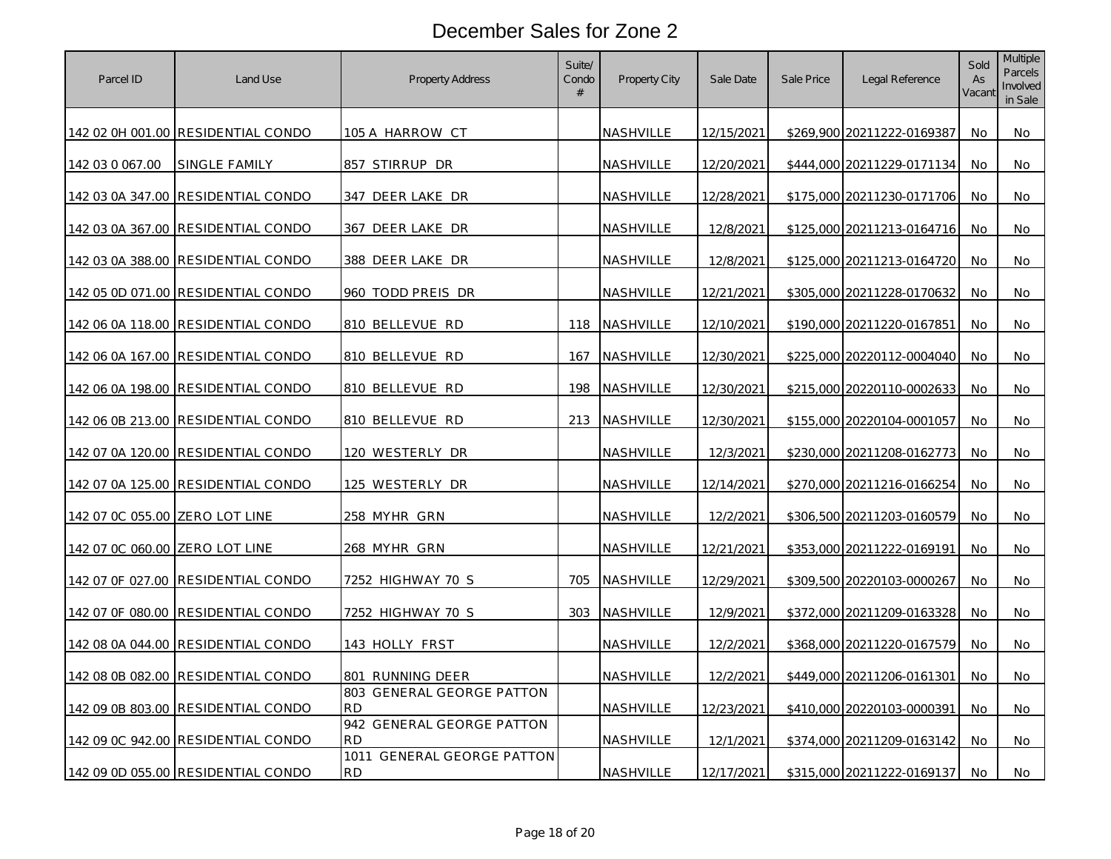| Parcel ID                      | Land Use                           | <b>Property Address</b>                           | Suite/<br>Condo<br># | Property City    | Sale Date  | Sale Price | Legal Reference            | Sold<br>As<br>Vacant | Multiple<br>Parcels<br>Involved<br>in Sale |
|--------------------------------|------------------------------------|---------------------------------------------------|----------------------|------------------|------------|------------|----------------------------|----------------------|--------------------------------------------|
|                                | 142 02 0H 001.00 RESIDENTIAL CONDO | 105 A HARROW CT                                   |                      | NASHVILLE        | 12/15/2021 |            | \$269,900 20211222-0169387 | No                   | No                                         |
| 142 03 0 067.00                | SINGLE FAMILY                      | 857 STIRRUP DR                                    |                      | NASHVILLE        | 12/20/2021 |            | \$444,000 20211229-0171134 | No                   | No                                         |
|                                | 142 03 0A 347.00 RESIDENTIAL CONDO | 347 DEER LAKE DR                                  |                      | NASHVILLE        | 12/28/2021 |            | \$175,000 20211230-0171706 | No                   | No                                         |
|                                | 142 03 0A 367.00 RESIDENTIAL CONDO | 367 DEER LAKE DR                                  |                      | NASHVILLE        | 12/8/2021  |            | \$125,000 20211213-0164716 | No                   | No                                         |
|                                | 142 03 0A 388.00 RESIDENTIAL CONDO | 388 DEER LAKE DR                                  |                      | NASHVILLE        | 12/8/2021  |            | \$125,000 20211213-0164720 | No.                  | No                                         |
|                                | 142 05 0D 071.00 RESIDENTIAL CONDO | 960 TODD PREIS DR                                 |                      | NASHVILLE        | 12/21/2021 |            | \$305,000 20211228-0170632 | No                   | No                                         |
|                                | 142 06 0A 118.00 RESIDENTIAL CONDO | 810 BELLEVUE RD                                   | 118                  | NASHVILLE        | 12/10/2021 |            | \$190,000 20211220-0167851 | No.                  | No                                         |
|                                | 142 06 0A 167.00 RESIDENTIAL CONDO | 810 BELLEVUE RD                                   | 167                  | NASHVILLE        | 12/30/2021 |            | \$225,000 20220112-0004040 | No                   | No                                         |
|                                | 142 06 0A 198.00 RESIDENTIAL CONDO | 810 BELLEVUE RD                                   | 198                  | NASHVILLE        | 12/30/2021 |            | \$215,000 20220110-0002633 | No                   | No                                         |
|                                | 142 06 0B 213.00 RESIDENTIAL CONDO | 810 BELLEVUE RD                                   |                      | 213 NASHVILLE    | 12/30/2021 |            | \$155,000 20220104-0001057 | No.                  | No                                         |
|                                | 142 07 0A 120.00 RESIDENTIAL CONDO | <u>120 WESTERLY DR</u>                            |                      | <u>NASHVILLE</u> | 12/3/2021  |            | \$230,000 20211208-0162773 | No                   | No                                         |
|                                | 142 07 0A 125.00 RESIDENTIAL CONDO | 125 WESTERLY DR                                   |                      | NASHVILLE        | 12/14/2021 |            | \$270,000 20211216-0166254 | No                   | No                                         |
| 142 07 0C 055.00 ZERO LOT LINE |                                    | 258 MYHR GRN                                      |                      | NASHVILLE        | 12/2/2021  |            | \$306,500 20211203-0160579 | No                   | No                                         |
| 142 07 0C 060.00 ZERO LOT LINE |                                    | 268 MYHR GRN                                      |                      | NASHVILLE        | 12/21/2021 |            | \$353,000 20211222-0169191 | No                   | No                                         |
| 142 07 0F 027.00               | RESIDENTIAL CONDO                  | 7252 HIGHWAY 70 S                                 | 705                  | NASHVILLE        | 12/29/2021 |            | \$309,500 20220103-0000267 | No                   | No                                         |
|                                | 142 07 0F 080.00 RESIDENTIAL CONDO | 7252 HIGHWAY 70 S                                 |                      | 303 NASHVILLE    | 12/9/2021  |            | \$372,000 20211209-0163328 | No                   | No                                         |
|                                | 142 08 0A 044.00 RESIDENTIAL CONDO | 143 HOLLY FRST                                    |                      | NASHVILLE        | 12/2/2021  |            | \$368,000 20211220-0167579 | No                   | No                                         |
|                                | 142 08 0B 082.00 RESIDENTIAL CONDO | 801 RUNNING DEER                                  |                      | <b>NASHVILLE</b> | 12/2/2021  |            | \$449,000 20211206-0161301 | No                   | No                                         |
|                                | 142 09 0B 803.00 RESIDENTIAL CONDO | 803 GENERAL GEORGE PATTON<br><b>RD</b>            |                      | NASHVILLE        | 12/23/2021 |            | \$410,000 20220103-0000391 | No                   | No                                         |
|                                | 142 09 0C 942.00 RESIDENTIAL CONDO | 942 GENERAL GEORGE PATTON<br><b>RD</b>            |                      | NASHVILLE        | 12/1/2021  |            | \$374,000 20211209-0163142 | No                   | No                                         |
|                                | 142 09 0D 055.00 RESIDENTIAL CONDO | <b>GENERAL GEORGE PATTON</b><br>1011<br><b>RD</b> |                      | NASHVILLE        | 12/17/2021 |            | \$315,000 20211222-0169137 | No                   | No                                         |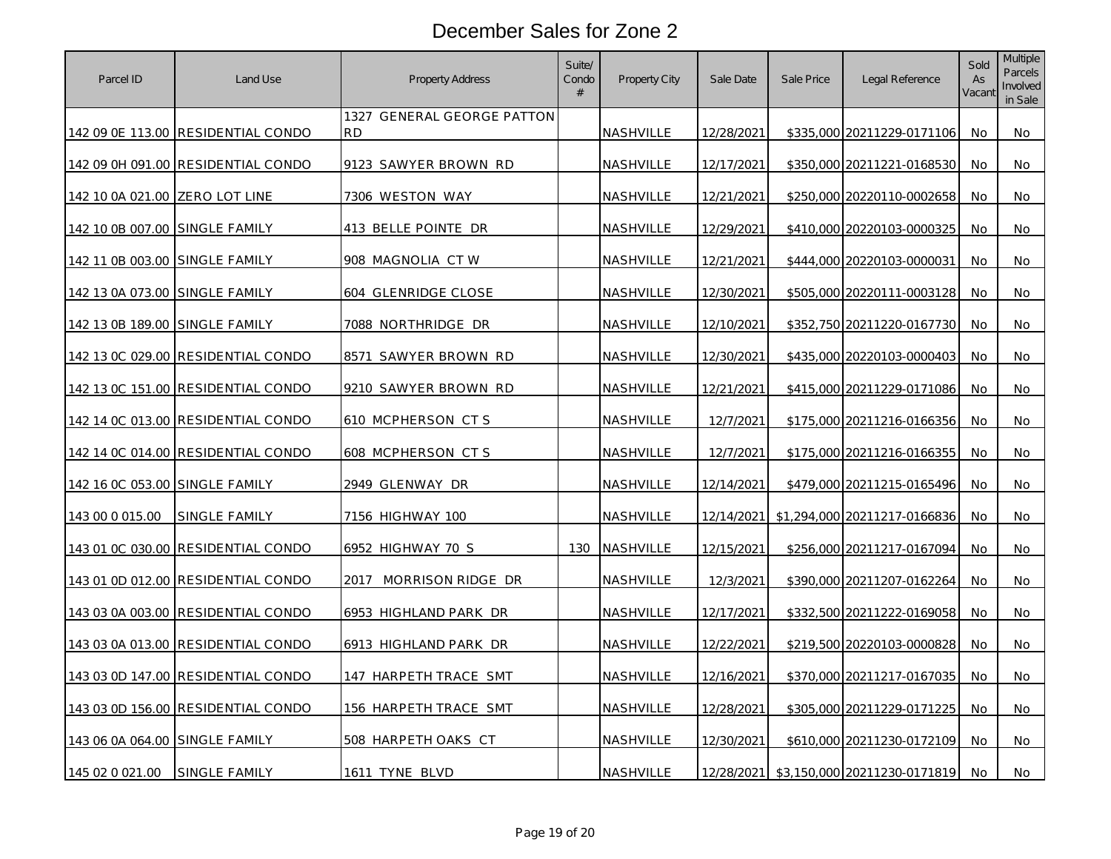| Parcel ID                      | Land Use                           | <b>Property Address</b>                 | Suite/<br>Condo<br># | Property City    | Sale Date  | Sale Price | Legal Reference              | Sold<br>As<br>Vacant | <b>Multiple</b><br><b>Parcels</b><br>Involved<br>in Sale |
|--------------------------------|------------------------------------|-----------------------------------------|----------------------|------------------|------------|------------|------------------------------|----------------------|----------------------------------------------------------|
|                                | 142 09 0E 113.00 RESIDENTIAL CONDO | 1327 GENERAL GEORGE PATTON<br><b>RD</b> |                      | <b>NASHVILLE</b> | 12/28/2021 |            | \$335,000 20211229-0171106   | No.                  | No                                                       |
|                                | 142 09 0H 091.00 RESIDENTIAL CONDO | 9123 SAWYER BROWN RD                    |                      | NASHVILLE        | 12/17/2021 |            | \$350,000 20211221-0168530   | No                   | No                                                       |
| 142 10 0A 021.00 ZERO LOT LINE |                                    | 7306 WESTON WAY                         |                      | NASHVILLE        | 12/21/2021 |            | \$250,000 20220110-0002658   | No                   | No                                                       |
| 142 10 0B 007.00 SINGLE FAMILY |                                    | 413 BELLE POINTE DR                     |                      | NASHVILLE        | 12/29/2021 |            | \$410,000 20220103-0000325   | No                   | No                                                       |
| 142 11 0B 003.00 SINGLE FAMILY |                                    | 908 MAGNOLIA CT W                       |                      | NASHVILLE        | 12/21/2021 |            | \$444,000 20220103-0000031   | No                   | No                                                       |
| 142 13 0A 073.00 SINGLE FAMILY |                                    | 604 GLENRIDGE CLOSE                     |                      | NASHVILLE        | 12/30/2021 |            | \$505,000 20220111-0003128   | No                   | No                                                       |
| 142 13 0B 189.00 SINGLE FAMILY |                                    | 7088 NORTHRIDGE DR                      |                      | NASHVILLE        | 12/10/2021 |            | \$352,750 20211220-0167730   | No                   | No                                                       |
|                                | 142 13 0C 029.00 RESIDENTIAL CONDO | 8571 SAWYER BROWN RD                    |                      | NASHVILLE        | 12/30/2021 |            | \$435,000 20220103-0000403   | No                   | No                                                       |
|                                | 142 13 0C 151.00 RESIDENTIAL CONDO | 9210 SAWYER BROWN RD                    |                      | NASHVILLE        | 12/21/2021 |            | \$415,000 20211229-0171086   | No                   | No                                                       |
|                                | 142 14 0C 013.00 RESIDENTIAL CONDO | 610 MCPHERSON CTS                       |                      | NASHVILLE        | 12/7/2021  |            | \$175,000 20211216-0166356   | No                   | No                                                       |
|                                | 142 14 0C 014.00 RESIDENTIAL CONDO | 608 MCPHERSON CTS                       |                      | <u>NASHVILLE</u> | 12/7/2021  |            | \$175,000 20211216-0166355   | No                   | No                                                       |
| 142 16 0C 053.00 SINGLE FAMILY |                                    | 2949 GLENWAY DR                         |                      | NASHVILLE        | 12/14/2021 |            | \$479,000 20211215-0165496   | No                   | No                                                       |
| 143 00 0 015.00                | SINGLE FAMILY                      | 7156 HIGHWAY 100                        |                      | NASHVILLE        | 12/14/2021 |            | \$1,294,000 20211217-0166836 | No                   | No                                                       |
|                                | 143 01 0C 030.00 RESIDENTIAL CONDO | 6952 HIGHWAY 70 S                       | 130                  | NASHVILLE        | 12/15/2021 |            | \$256,000 20211217-0167094   | No                   | No                                                       |
|                                | 143 01 0D 012.00 RESIDENTIAL CONDO | MORRISON RIDGE DR<br>2017               |                      | NASHVILLE        | 12/3/2021  |            | \$390,000 20211207-0162264   | <b>No</b>            | No                                                       |
|                                | 143 03 0A 003.00 RESIDENTIAL CONDO | 6953 HIGHLAND PARK DR                   |                      | NASHVILLE        | 12/17/2021 |            | \$332,500 20211222-0169058   | No                   | No                                                       |
|                                | 143 03 0A 013.00 RESIDENTIAL CONDO | 6913 HIGHLAND PARK DR                   |                      | NASHVILLE        | 12/22/2021 |            | \$219,500 20220103-0000828   | No                   | No                                                       |
|                                | 143 03 0D 147.00 RESIDENTIAL CONDO | 147 HARPETH TRACE SMT                   |                      | NASHVILLE        | 12/16/2021 |            | \$370,000 20211217-0167035   | No                   | No                                                       |
|                                | 143 03 0D 156.00 RESIDENTIAL CONDO | 156 HARPETH TRACE SMT                   |                      | NASHVILLE        | 12/28/2021 |            | \$305,000 20211229-0171225   | No                   | No.                                                      |
| 143 06 0A 064.00 SINGLE FAMILY |                                    | 508 HARPETH OAKS CT                     |                      | NASHVILLE        | 12/30/2021 |            | \$610,000 20211230-0172109   | No                   | No                                                       |
| 145 02 0 021.00                | <b>SINGLE FAMILY</b>               | 1611 TYNE BLVD                          |                      | NASHVILLE        | 12/28/2021 |            | \$3,150,000 20211230-0171819 | No                   | No                                                       |